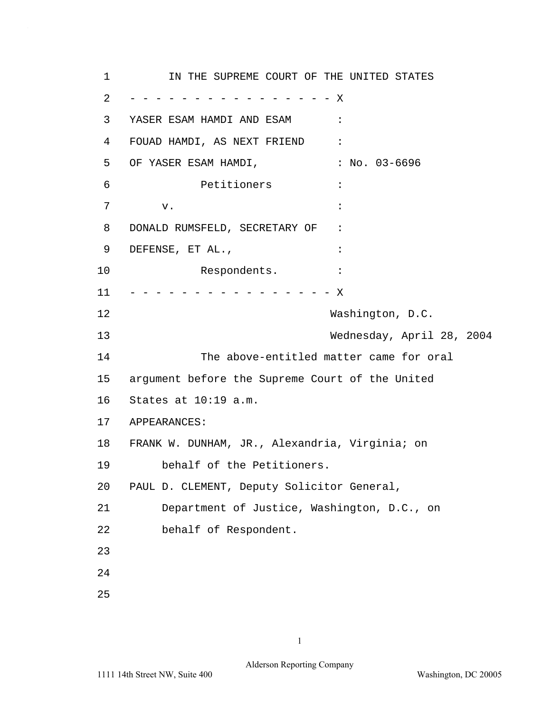1 2 3 4 5 6 7 8 9 10 11 12 13 14 15 16 17 APPEARANCES: 18 19 20 21 22 23 24 25 IN THE SUPREME COURT OF THE UNITED STATES - - - - - - - - - - - - - - - - X YASER ESAM HAMDI AND ESAM : FOUAD HAMDI, AS NEXT FRIEND : OF YASER ESAM HAMDI, : No. 03-6696 Petitioners :  $\mathbf v$ .  $\mathbf v$ DONALD RUMSFELD, SECRETARY OF : DEFENSE, ET AL., Respondents. : - - - - - - - - - - - - - - - - X Washington, D.C. Wednesday, April 28, 2004 The above-entitled matter came for oral argument before the Supreme Court of the United States at 10:19 a.m. FRANK W. DUNHAM, JR., Alexandria, Virginia; on behalf of the Petitioners. PAUL D. CLEMENT, Deputy Solicitor General, Department of Justice, Washington, D.C., on behalf of Respondent.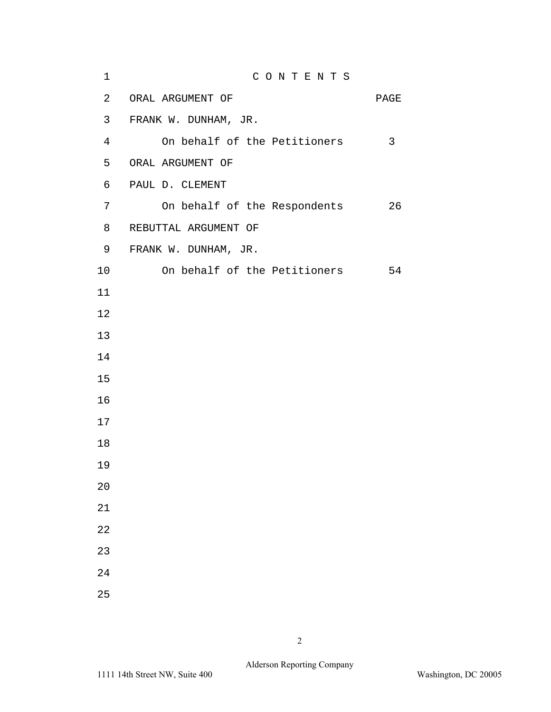| $\mathbf 1$ | CONTENTS                     |      |
|-------------|------------------------------|------|
| 2           | ORAL ARGUMENT OF             | PAGE |
| 3           | FRANK W. DUNHAM, JR.         |      |
| 4           | On behalf of the Petitioners | 3    |
| 5           | ORAL ARGUMENT OF             |      |
| 6           | PAUL D. CLEMENT              |      |
| 7           | On behalf of the Respondents | 26   |
| 8           | REBUTTAL ARGUMENT OF         |      |
| 9           | FRANK W. DUNHAM, JR.         |      |
| 10          | On behalf of the Petitioners | 54   |
| 11          |                              |      |
| 12          |                              |      |
| 13          |                              |      |
| 14          |                              |      |
| 15          |                              |      |
| 16          |                              |      |
| 17          |                              |      |
| 18          |                              |      |
| 19          |                              |      |
| 20          |                              |      |
| 21          |                              |      |
| 22          |                              |      |
| 23          |                              |      |
| 24          |                              |      |
| 25          |                              |      |

 $\hat{\mathcal{A}}$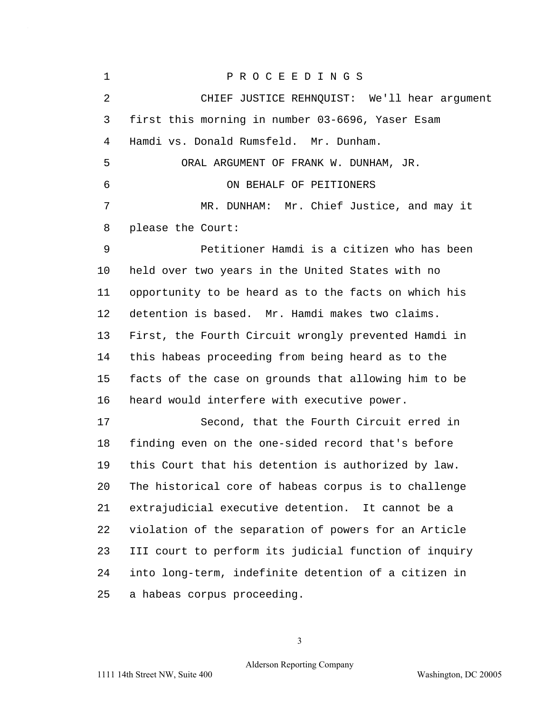1 P R O C E E D I N G S 2 CHIEF JUSTICE REHNQUIST: We'll hear argument 3 first this morning in number 03-6696, Yaser Esam 4 Hamdi vs. Donald Rumsfeld. Mr. Dunham. 5 ORAL ARGUMENT OF FRANK W. DUNHAM, JR. 6 ON BEHALF OF PEITIONERS 7 MR. DUNHAM: Mr. Chief Justice, and may it 8 please the Court: 9 Petitioner Hamdi is a citizen who has been 10 held over two years in the United States with no 11 opportunity to be heard as to the facts on which his 12 detention is based. Mr. Hamdi makes two claims. 13 First, the Fourth Circuit wrongly prevented Hamdi in 14 this habeas proceeding from being heard as to the 15 facts of the case on grounds that allowing him to be 16 heard would interfere with executive power. 17 Second, that the Fourth Circuit erred in 18 finding even on the one-sided record that's before 19 this Court that his detention is authorized by law. 20 The historical core of habeas corpus is to challenge 21 extrajudicial executive detention. It cannot be a 22 violation of the separation of powers for an Article 23 III court to perform its judicial function of inquiry 24 into long-term, indefinite detention of a citizen in 25 a habeas corpus proceeding.

3

## Alderson Reporting Company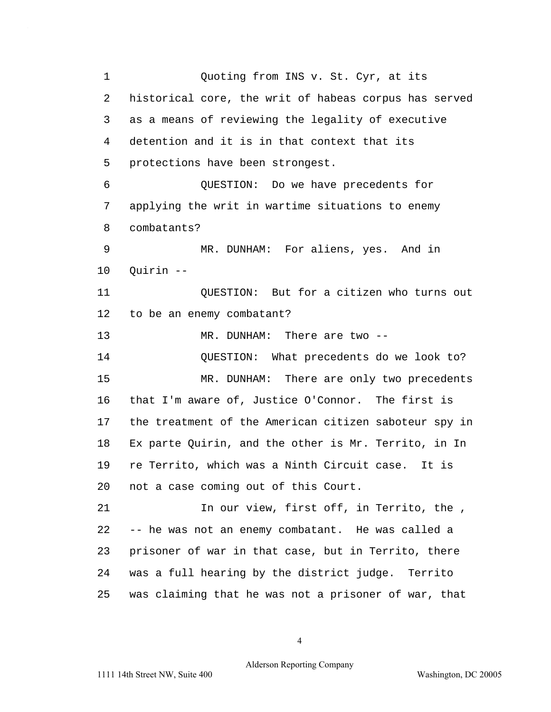1 Quoting from INS v. St. Cyr, at its 2 historical core, the writ of habeas corpus has served 3 as a means of reviewing the legality of executive 4 detention and it is in that context that its 5 protections have been strongest. 6 QUESTION: Do we have precedents for 7 applying the writ in wartime situations to enemy 8 combatants? 9 MR. DUNHAM: For aliens, yes. And in 10 Quirin -- 11 QUESTION: But for a citizen who turns out 12 to be an enemy combatant? 13 MR. DUNHAM: There are two -- 14 OUESTION: What precedents do we look to? 15 MR. DUNHAM: There are only two precedents 16 that I'm aware of, Justice O'Connor. The first is 17 the treatment of the American citizen saboteur spy in 18 Ex parte Quirin, and the other is Mr. Territo, in In 19 re Territo, which was a Ninth Circuit case. It is 20 not a case coming out of this Court. 21 In our view, first off, in Territo, the , 22 -- he was not an enemy combatant. He was called a 23 prisoner of war in that case, but in Territo, there 24 was a full hearing by the district judge. Territo 25 was claiming that he was not a prisoner of war, that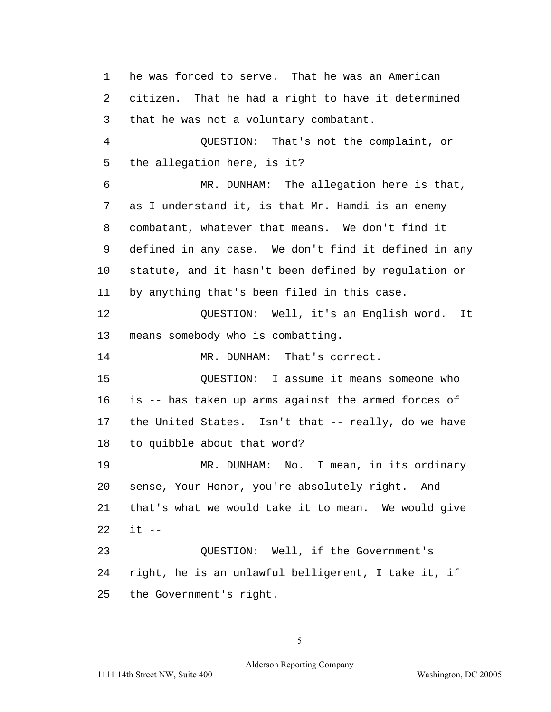1 he was forced to serve. That he was an American 2 citizen. That he had a right to have it determined 3 that he was not a voluntary combatant. 4 QUESTION: That's not the complaint, or 5 the allegation here, is it? 6 MR. DUNHAM: The allegation here is that, 7 as I understand it, is that Mr. Hamdi is an enemy 8 combatant, whatever that means. We don't find it 9 defined in any case. We don't find it defined in any 10 statute, and it hasn't been defined by regulation or 11 by anything that's been filed in this case. 12 QUESTION: Well, it's an English word. It 13 means somebody who is combatting. 14 MR. DUNHAM: That's correct. 15 QUESTION: I assume it means someone who 16 is -- has taken up arms against the armed forces of 17 the United States. Isn't that -- really, do we have 18 to quibble about that word? 19 MR. DUNHAM: No. I mean, in its ordinary 20 sense, Your Honor, you're absolutely right. And 21 that's what we would take it to mean. We would give 22 it -- 23 QUESTION: Well, if the Government's 24 right, he is an unlawful belligerent, I take it, if 25 the Government's right.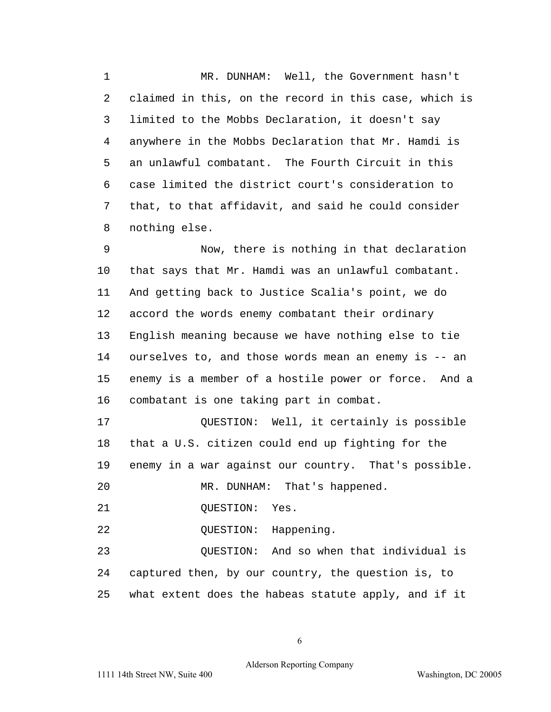1 MR. DUNHAM: Well, the Government hasn't 2 claimed in this, on the record in this case, which is 3 limited to the Mobbs Declaration, it doesn't say 4 anywhere in the Mobbs Declaration that Mr. Hamdi is 5 an unlawful combatant. The Fourth Circuit in this 6 case limited the district court's consideration to 7 that, to that affidavit, and said he could consider 8 nothing else.

9 Now, there is nothing in that declaration 10 that says that Mr. Hamdi was an unlawful combatant. 11 And getting back to Justice Scalia's point, we do 12 accord the words enemy combatant their ordinary 13 English meaning because we have nothing else to tie 14 ourselves to, and those words mean an enemy is -- an 15 enemy is a member of a hostile power or force. And a 16 combatant is one taking part in combat.

17 **DESTION:** Well, it certainly is possible 18 that a U.S. citizen could end up fighting for the 19 enemy in a war against our country. That's possible. 20 MR. DUNHAM: That's happened.

21 OUESTION: Yes.

22 OUESTION: Happening.

23 QUESTION: And so when that individual is 24 captured then, by our country, the question is, to 25 what extent does the habeas statute apply, and if it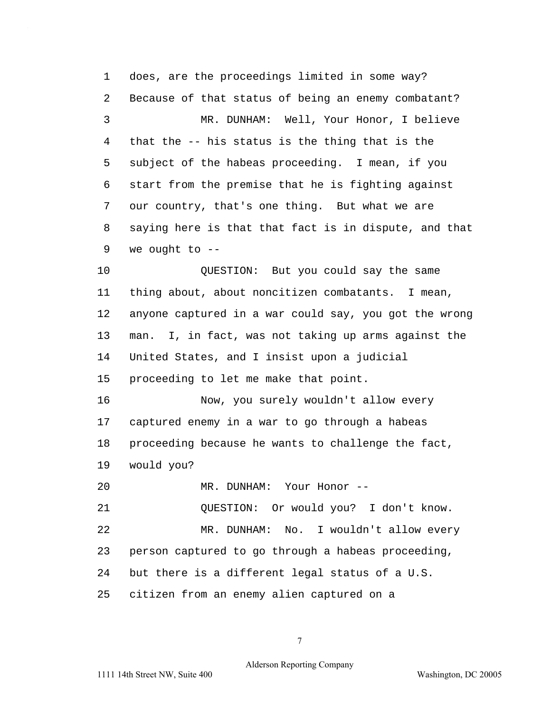1 does, are the proceedings limited in some way? 2 Because of that status of being an enemy combatant? 3 MR. DUNHAM: Well, Your Honor, I believe 4 that the -- his status is the thing that is the 5 subject of the habeas proceeding. I mean, if you 6 start from the premise that he is fighting against 7 our country, that's one thing. But what we are 8 saying here is that that fact is in dispute, and that 9 we ought to -- 10 QUESTION: But you could say the same 11 thing about, about noncitizen combatants. I mean, 12 anyone captured in a war could say, you got the wrong 13 man. I, in fact, was not taking up arms against the 14 United States, and I insist upon a judicial 15 proceeding to let me make that point. 16 Now, you surely wouldn't allow every 17 captured enemy in a war to go through a habeas 18 proceeding because he wants to challenge the fact, 19 would you? 20 MR. DUNHAM: Your Honor --21 QUESTION: Or would you? I don't know. 22 MR. DUNHAM: No. I wouldn't allow every 23 person captured to go through a habeas proceeding, 24 but there is a different legal status of a U.S. 25 citizen from an enemy alien captured on a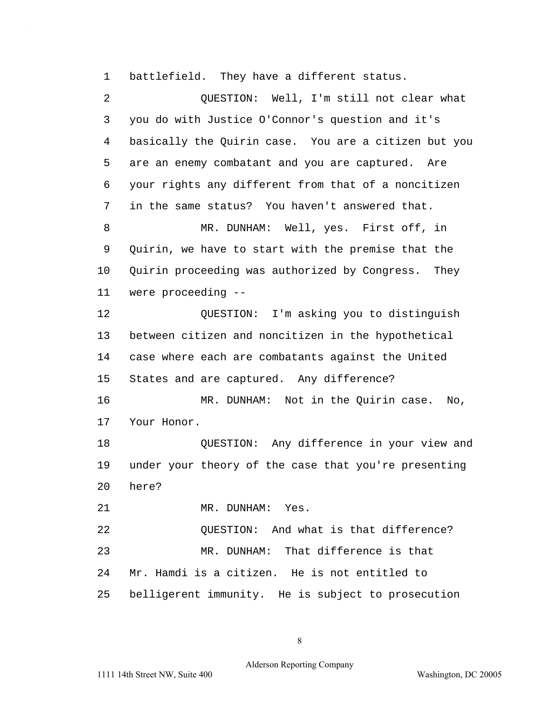1 battlefield. They have a different status.

2 QUESTION: Well, I'm still not clear what 3 you do with Justice O'Connor's question and it's 4 basically the Quirin case. You are a citizen but you 5 are an enemy combatant and you are captured. Are 6 your rights any different from that of a noncitizen 7 in the same status? You haven't answered that. 8 MR. DUNHAM: Well, yes. First off, in 9 Quirin, we have to start with the premise that the 10 Quirin proceeding was authorized by Congress. They 11 were proceeding -- 12 QUESTION: I'm asking you to distinguish 13 between citizen and noncitizen in the hypothetical 14 case where each are combatants against the United 15 States and are captured. Any difference? 16 MR. DUNHAM: Not in the Quirin case. No, 17 Your Honor. 18 QUESTION: Any difference in your view and 19 under your theory of the case that you're presenting 20 here? 21 MR. DUNHAM: Yes. 22 QUESTION: And what is that difference? 23 MR. DUNHAM: That difference is that 24 Mr. Hamdi is a citizen. He is not entitled to 25 belligerent immunity. He is subject to prosecution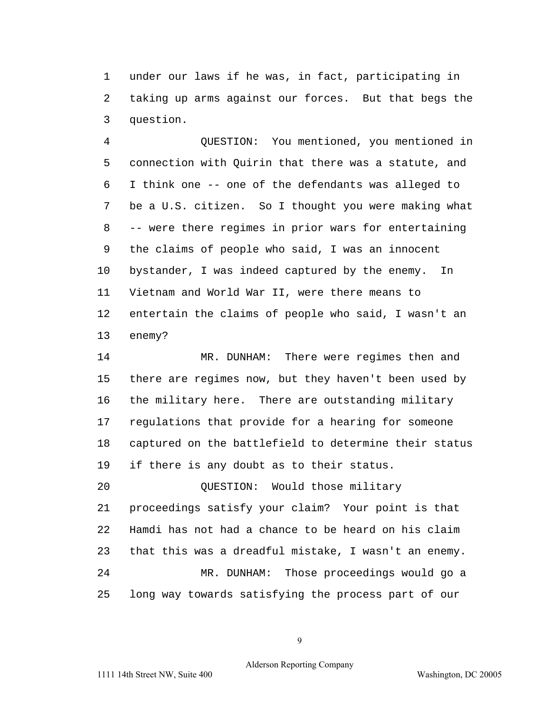1 under our laws if he was, in fact, participating in 2 taking up arms against our forces. But that begs the 3 question.

4 QUESTION: You mentioned, you mentioned in 5 connection with Quirin that there was a statute, and 6 I think one -- one of the defendants was alleged to 7 be a U.S. citizen. So I thought you were making what 8 -- were there regimes in prior wars for entertaining 9 the claims of people who said, I was an innocent 10 bystander, I was indeed captured by the enemy. In 11 Vietnam and World War II, were there means to 12 entertain the claims of people who said, I wasn't an 13 enemy?

14 MR. DUNHAM: There were regimes then and 15 there are regimes now, but they haven't been used by 16 the military here. There are outstanding military 17 regulations that provide for a hearing for someone 18 captured on the battlefield to determine their status 19 if there is any doubt as to their status.

20 QUESTION: Would those military 21 proceedings satisfy your claim? Your point is that 22 Hamdi has not had a chance to be heard on his claim 23 that this was a dreadful mistake, I wasn't an enemy. 24 MR. DUNHAM: Those proceedings would go a 25 long way towards satisfying the process part of our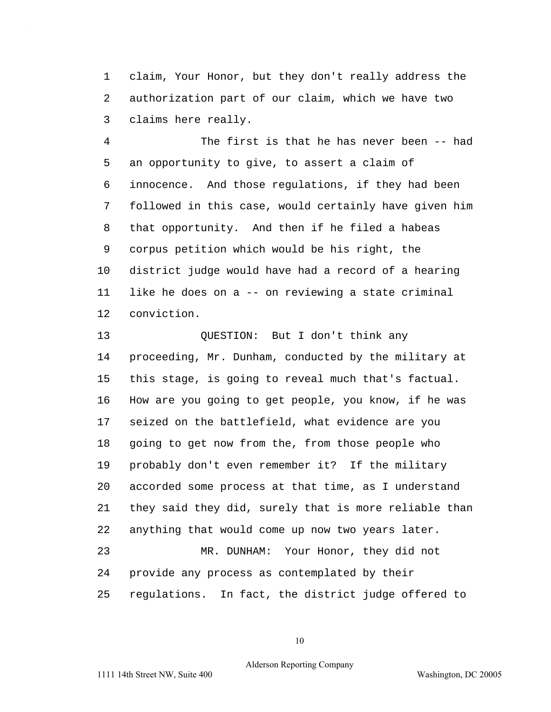1 claim, Your Honor, but they don't really address the 2 authorization part of our claim, which we have two 3 claims here really.

4 The first is that he has never been -- had 5 an opportunity to give, to assert a claim of 6 innocence. And those regulations, if they had been 7 followed in this case, would certainly have given him 8 that opportunity. And then if he filed a habeas 9 corpus petition which would be his right, the 10 district judge would have had a record of a hearing 11 like he does on a -- on reviewing a state criminal 12 conviction.

13 QUESTION: But I don't think any 14 proceeding, Mr. Dunham, conducted by the military at 15 this stage, is going to reveal much that's factual. 16 How are you going to get people, you know, if he was 17 seized on the battlefield, what evidence are you 18 going to get now from the, from those people who 19 probably don't even remember it? If the military 20 accorded some process at that time, as I understand 21 they said they did, surely that is more reliable than 22 anything that would come up now two years later. 23 MR. DUNHAM: Your Honor, they did not 24 provide any process as contemplated by their 25 regulations. In fact, the district judge offered to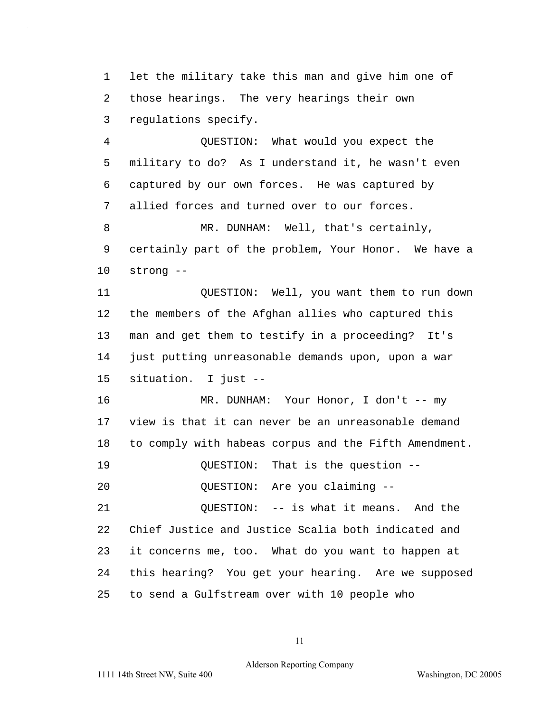1 let the military take this man and give him one of 2 those hearings. The very hearings their own 3 regulations specify.

4 QUESTION: What would you expect the 5 military to do? As I understand it, he wasn't even 6 captured by our own forces. He was captured by 7 allied forces and turned over to our forces. 8 MR. DUNHAM: Well, that's certainly,

9 certainly part of the problem, Your Honor. We have a 10 strong --

11 QUESTION: Well, you want them to run down 12 the members of the Afghan allies who captured this 13 man and get them to testify in a proceeding? It's 14 just putting unreasonable demands upon, upon a war 15 situation. I just --

16 MR. DUNHAM: Your Honor, I don't -- my 17 view is that it can never be an unreasonable demand 18 to comply with habeas corpus and the Fifth Amendment.

19 QUESTION: That is the question --

20 QUESTION: Are you claiming --

21 QUESTION: -- is what it means. And the 22 Chief Justice and Justice Scalia both indicated and 23 it concerns me, too. What do you want to happen at 24 this hearing? You get your hearing. Are we supposed 25 to send a Gulfstream over with 10 people who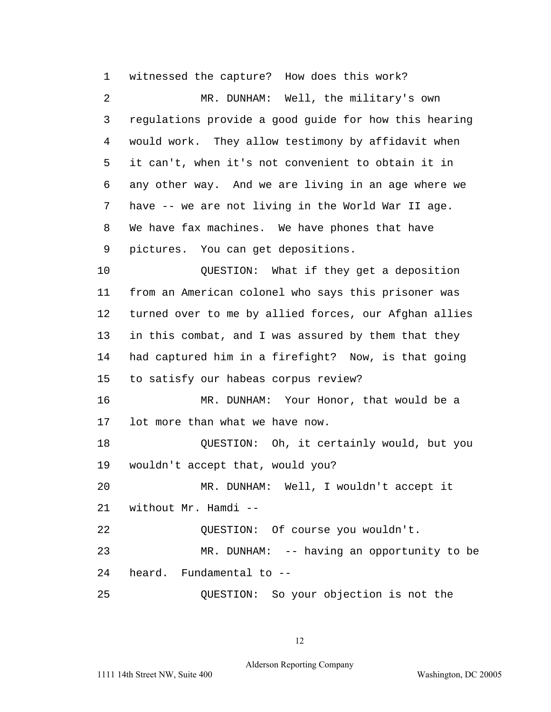1 witnessed the capture? How does this work? 2 MR. DUNHAM: Well, the military's own 3 regulations provide a good guide for how this hearing 4 would work. They allow testimony by affidavit when 5 it can't, when it's not convenient to obtain it in 6 any other way. And we are living in an age where we 7 have -- we are not living in the World War II age. 8 We have fax machines. We have phones that have 9 pictures. You can get depositions. 10 QUESTION: What if they get a deposition 11 from an American colonel who says this prisoner was 12 turned over to me by allied forces, our Afghan allies 13 in this combat, and I was assured by them that they 14 had captured him in a firefight? Now, is that going 15 to satisfy our habeas corpus review? 16 MR. DUNHAM: Your Honor, that would be a 17 lot more than what we have now. 18 QUESTION: Oh, it certainly would, but you 19 wouldn't accept that, would you? 20 MR. DUNHAM: Well, I wouldn't accept it 21 without Mr. Hamdi --22 OUESTION: Of course you wouldn't. 23 MR. DUNHAM: -- having an opportunity to be 24 heard. Fundamental to -- 25 QUESTION: So your objection is not the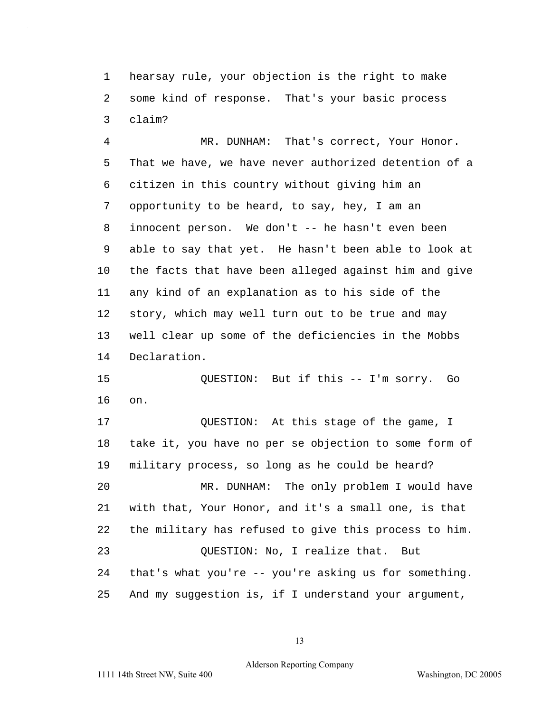1 hearsay rule, your objection is the right to make 2 some kind of response. That's your basic process 3 claim?

4 MR. DUNHAM: That's correct, Your Honor. 5 That we have, we have never authorized detention of a 6 citizen in this country without giving him an 7 opportunity to be heard, to say, hey, I am an 8 innocent person. We don't -- he hasn't even been 9 able to say that yet. He hasn't been able to look at 10 the facts that have been alleged against him and give 11 any kind of an explanation as to his side of the 12 story, which may well turn out to be true and may 13 well clear up some of the deficiencies in the Mobbs 14 Declaration.

15 QUESTION: But if this -- I'm sorry. Go 16 on.

17 QUESTION: At this stage of the game, I 18 take it, you have no per se objection to some form of 19 military process, so long as he could be heard? 20 MR. DUNHAM: The only problem I would have 21 with that, Your Honor, and it's a small one, is that 22 the military has refused to give this process to him. 23 QUESTION: No, I realize that. But 24 that's what you're -- you're asking us for something. 25 And my suggestion is, if I understand your argument,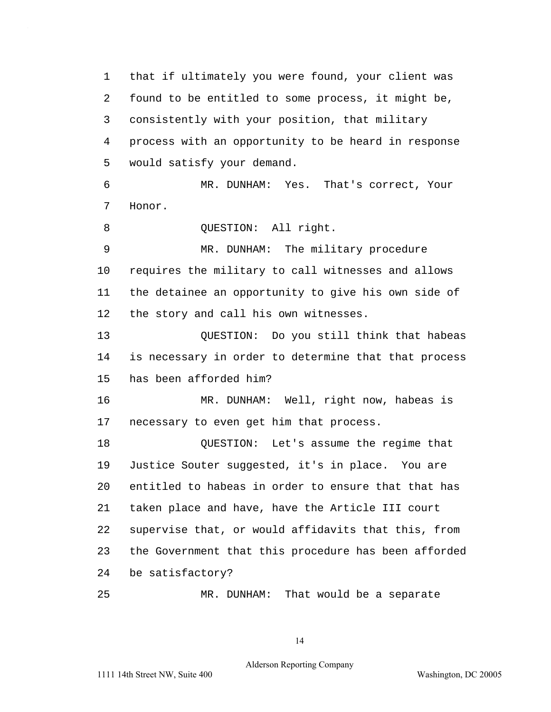1 that if ultimately you were found, your client was 2 found to be entitled to some process, it might be, 3 consistently with your position, that military 4 process with an opportunity to be heard in response 5 would satisfy your demand.

6 MR. DUNHAM: Yes. That's correct, Your 7 Honor.

8 OUESTION: All right.

9 MR. DUNHAM: The military procedure 10 requires the military to call witnesses and allows 11 the detainee an opportunity to give his own side of 12 the story and call his own witnesses.

13 QUESTION: Do you still think that habeas 14 is necessary in order to determine that that process 15 has been afforded him?

16 MR. DUNHAM: Well, right now, habeas is 17 necessary to even get him that process.

18 QUESTION: Let's assume the regime that 19 Justice Souter suggested, it's in place. You are 20 entitled to habeas in order to ensure that that has 21 taken place and have, have the Article III court 22 supervise that, or would affidavits that this, from 23 the Government that this procedure has been afforded 24 be satisfactory?

25 MR. DUNHAM: That would be a separate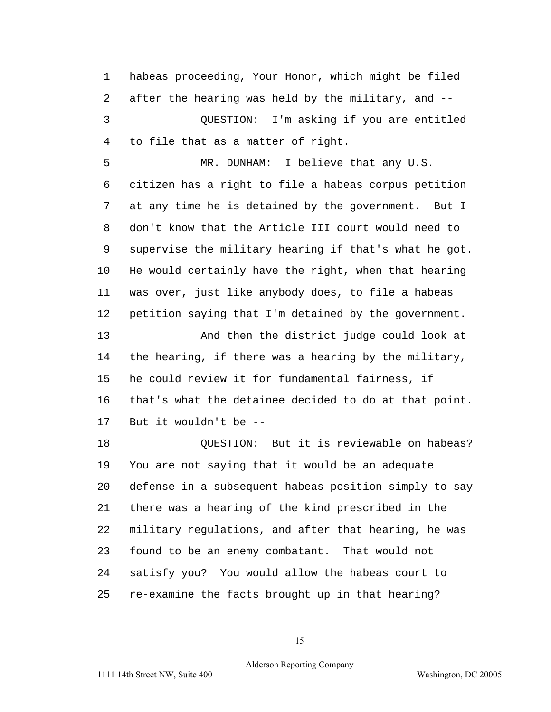1 habeas proceeding, Your Honor, which might be filed 2 after the hearing was held by the military, and -- 3 QUESTION: I'm asking if you are entitled

4 to file that as a matter of right.

5 MR. DUNHAM: I believe that any U.S. 6 citizen has a right to file a habeas corpus petition 7 at any time he is detained by the government. But I 8 don't know that the Article III court would need to 9 supervise the military hearing if that's what he got. 10 He would certainly have the right, when that hearing 11 was over, just like anybody does, to file a habeas 12 petition saying that I'm detained by the government.

13 And then the district judge could look at 14 the hearing, if there was a hearing by the military, 15 he could review it for fundamental fairness, if 16 that's what the detainee decided to do at that point. 17 But it wouldn't be --

18 **DUESTION:** But it is reviewable on habeas? 19 You are not saying that it would be an adequate 20 defense in a subsequent habeas position simply to say 21 there was a hearing of the kind prescribed in the 22 military regulations, and after that hearing, he was 23 found to be an enemy combatant. That would not 24 satisfy you? You would allow the habeas court to 25 re-examine the facts brought up in that hearing?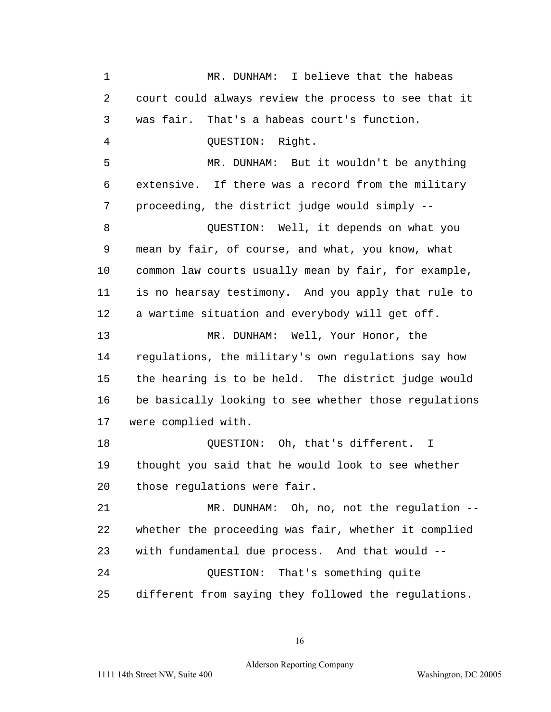1 MR. DUNHAM: I believe that the habeas 2 court could always review the process to see that it 3 was fair. That's a habeas court's function. 4 QUESTION: Right. 5 MR. DUNHAM: But it wouldn't be anything 6 extensive. If there was a record from the military 7 proceeding, the district judge would simply --8 QUESTION: Well, it depends on what you 9 mean by fair, of course, and what, you know, what 10 common law courts usually mean by fair, for example, 11 is no hearsay testimony. And you apply that rule to 12 a wartime situation and everybody will get off. 13 MR. DUNHAM: Well, Your Honor, the 14 regulations, the military's own regulations say how 15 the hearing is to be held. The district judge would 16 be basically looking to see whether those regulations 17 were complied with. 18 OUESTION: Oh, that's different. I 19 thought you said that he would look to see whether 20 those regulations were fair. 21 MR. DUNHAM: Oh, no, not the regulation --22 whether the proceeding was fair, whether it complied 23 with fundamental due process. And that would --24 QUESTION: That's something quite 25 different from saying they followed the regulations.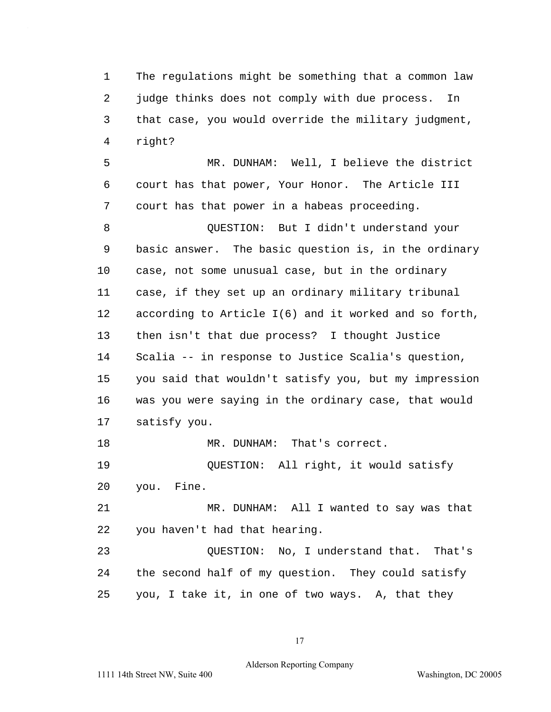1 The regulations might be something that a common law 2 judge thinks does not comply with due process. In 3 that case, you would override the military judgment, 4 right?

5 MR. DUNHAM: Well, I believe the district 6 court has that power, Your Honor. The Article III 7 court has that power in a habeas proceeding.

8 QUESTION: But I didn't understand your 9 basic answer. The basic question is, in the ordinary 10 case, not some unusual case, but in the ordinary 11 case, if they set up an ordinary military tribunal 12 according to Article I(6) and it worked and so forth, 13 then isn't that due process? I thought Justice 14 Scalia -- in response to Justice Scalia's question, 15 you said that wouldn't satisfy you, but my impression 16 was you were saying in the ordinary case, that would 17 satisfy you. 18 MR. DUNHAM: That's correct.

19 QUESTION: All right, it would satisfy 20 you. Fine.

21 MR. DUNHAM: All I wanted to say was that 22 you haven't had that hearing.

23 QUESTION: No, I understand that. That's 24 the second half of my question. They could satisfy 25 you, I take it, in one of two ways. A, that they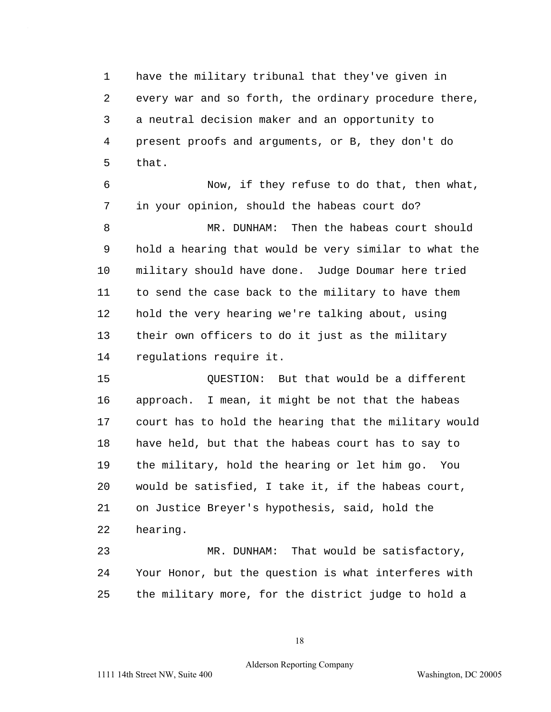1 have the military tribunal that they've given in 2 every war and so forth, the ordinary procedure there, 3 a neutral decision maker and an opportunity to 4 present proofs and arguments, or B, they don't do 5 that.

6 Now, if they refuse to do that, then what, 7 in your opinion, should the habeas court do?

8 MR. DUNHAM: Then the habeas court should 9 hold a hearing that would be very similar to what the 10 military should have done. Judge Doumar here tried 11 to send the case back to the military to have them 12 hold the very hearing we're talking about, using 13 their own officers to do it just as the military 14 regulations require it.

15 QUESTION: But that would be a different 16 approach. I mean, it might be not that the habeas 17 court has to hold the hearing that the military would 18 have held, but that the habeas court has to say to 19 the military, hold the hearing or let him go. You 20 would be satisfied, I take it, if the habeas court, 21 on Justice Breyer's hypothesis, said, hold the 22 hearing.

23 MR. DUNHAM: That would be satisfactory, 24 Your Honor, but the question is what interferes with 25 the military more, for the district judge to hold a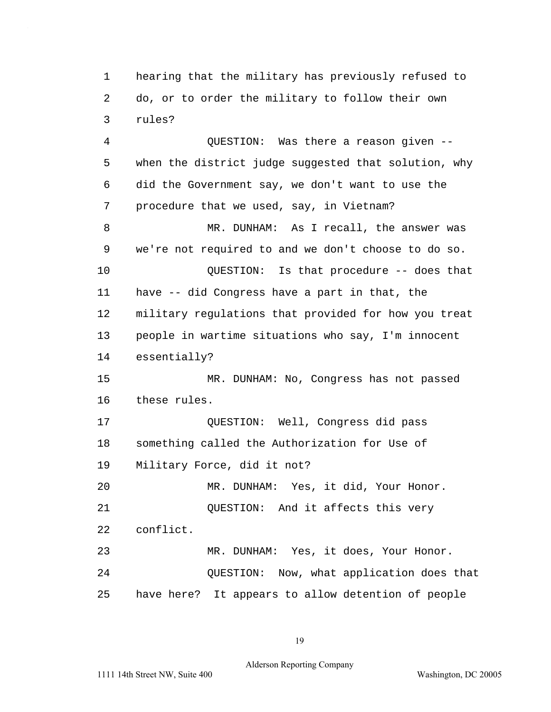1 hearing that the military has previously refused to 2 do, or to order the military to follow their own 3 rules?

4 QUESTION: Was there a reason given -- 5 when the district judge suggested that solution, why 6 did the Government say, we don't want to use the 7 procedure that we used, say, in Vietnam? 8 MR. DUNHAM: As I recall, the answer was 9 we're not required to and we don't choose to do so. 10 QUESTION: Is that procedure -- does that 11 have -- did Congress have a part in that, the 12 military regulations that provided for how you treat 13 people in wartime situations who say, I'm innocent 14 essentially? 15 MR. DUNHAM: No, Congress has not passed 16 these rules. 17 QUESTION: Well, Congress did pass 18 something called the Authorization for Use of 19 Military Force, did it not? 20 MR. DUNHAM: Yes, it did, Your Honor. 21 QUESTION: And it affects this very 22 conflict. 23 MR. DUNHAM: Yes, it does, Your Honor. 24 QUESTION: Now, what application does that 25 have here? It appears to allow detention of people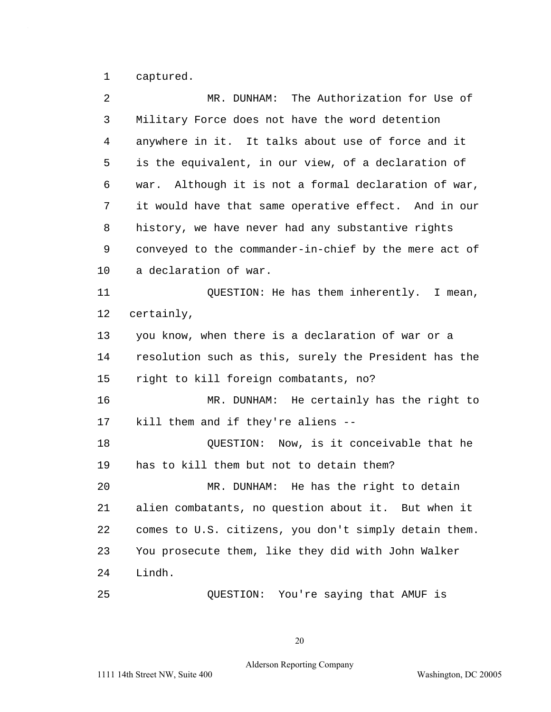1 captured.

 $\hat{\mathcal{A}}$ 

| 2  | The Authorization for Use of<br>MR. DUNHAM:             |
|----|---------------------------------------------------------|
| 3  | Military Force does not have the word detention         |
| 4  | anywhere in it. It talks about use of force and it      |
| 5  | is the equivalent, in our view, of a declaration of     |
| 6  | Although it is not a formal declaration of war,<br>war. |
| 7  | it would have that same operative effect. And in our    |
| 8  | history, we have never had any substantive rights       |
| 9  | conveyed to the commander-in-chief by the mere act of   |
| 10 | a declaration of war.                                   |
| 11 | QUESTION: He has them inherently. I mean,               |
| 12 | certainly,                                              |
| 13 | you know, when there is a declaration of war or a       |
| 14 | resolution such as this, surely the President has the   |
| 15 | right to kill foreign combatants, no?                   |
| 16 | MR. DUNHAM: He certainly has the right to               |
| 17 | kill them and if they're aliens --                      |
| 18 | QUESTION: Now, is it conceivable that he                |
| 19 | has to kill them but not to detain them?                |
| 20 | MR. DUNHAM: He has the right to detain                  |
| 21 | alien combatants, no question about it. But when it     |
| 22 | comes to U.S. citizens, you don't simply detain them.   |
| 23 | You prosecute them, like they did with John Walker      |
| 24 | Lindh.                                                  |
| 25 | QUESTION: You're saying that AMUF is                    |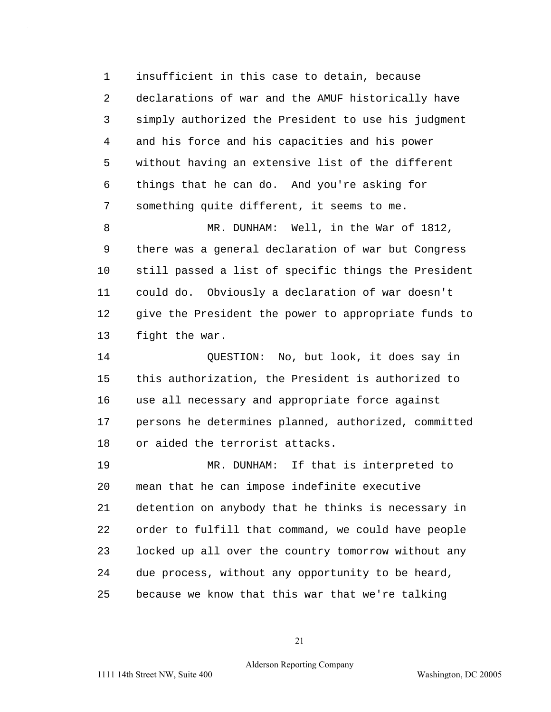1 insufficient in this case to detain, because 2 declarations of war and the AMUF historically have 3 simply authorized the President to use his judgment 4 and his force and his capacities and his power 5 without having an extensive list of the different 6 things that he can do. And you're asking for 7 something quite different, it seems to me.

8 MR. DUNHAM: Well, in the War of 1812, 9 there was a general declaration of war but Congress 10 still passed a list of specific things the President 11 could do. Obviously a declaration of war doesn't 12 give the President the power to appropriate funds to 13 fight the war.

14 QUESTION: No, but look, it does say in 15 this authorization, the President is authorized to 16 use all necessary and appropriate force against 17 persons he determines planned, authorized, committed 18 or aided the terrorist attacks.

19 MR. DUNHAM: If that is interpreted to 20 mean that he can impose indefinite executive 21 detention on anybody that he thinks is necessary in 22 order to fulfill that command, we could have people 23 locked up all over the country tomorrow without any 24 due process, without any opportunity to be heard, 25 because we know that this war that we're talking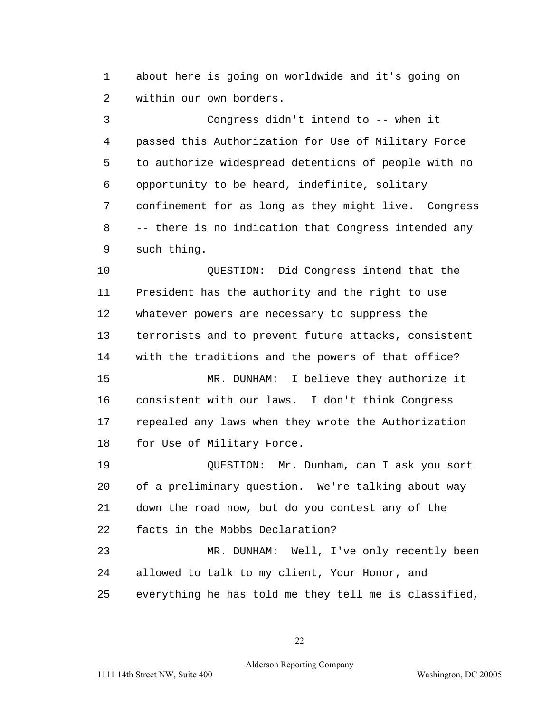1 about here is going on worldwide and it's going on 2 within our own borders.

3 Congress didn't intend to -- when it 4 passed this Authorization for Use of Military Force 5 to authorize widespread detentions of people with no 6 opportunity to be heard, indefinite, solitary 7 confinement for as long as they might live. Congress 8 -- there is no indication that Congress intended any 9 such thing.

10 QUESTION: Did Congress intend that the 11 President has the authority and the right to use 12 whatever powers are necessary to suppress the 13 terrorists and to prevent future attacks, consistent 14 with the traditions and the powers of that office? 15 MR. DUNHAM: I believe they authorize it 16 consistent with our laws. I don't think Congress 17 repealed any laws when they wrote the Authorization 18 for Use of Military Force.

19 QUESTION: Mr. Dunham, can I ask you sort 20 of a preliminary question. We're talking about way 21 down the road now, but do you contest any of the 22 facts in the Mobbs Declaration?

23 MR. DUNHAM: Well, I've only recently been 24 allowed to talk to my client, Your Honor, and 25 everything he has told me they tell me is classified,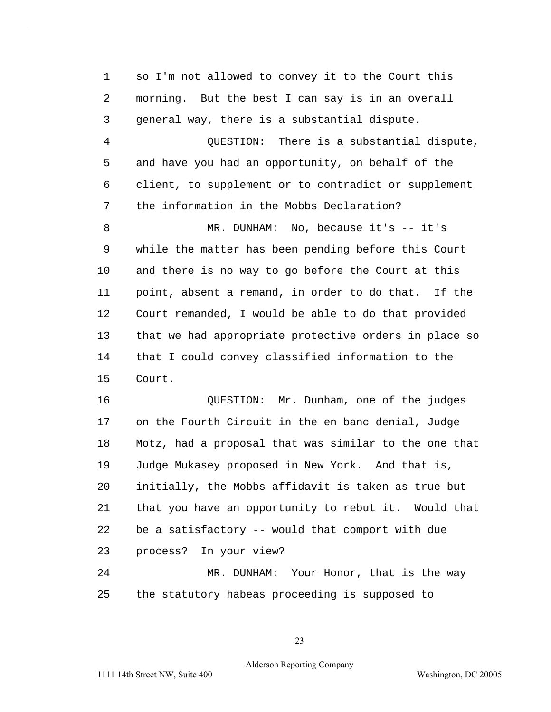1 so I'm not allowed to convey it to the Court this 2 morning. But the best I can say is in an overall 3 general way, there is a substantial dispute. 4 QUESTION: There is a substantial dispute, 5 and have you had an opportunity, on behalf of the 6 client, to supplement or to contradict or supplement 7 the information in the Mobbs Declaration? 8 MR. DUNHAM: No, because it's -- it's 9 while the matter has been pending before this Court 10 and there is no way to go before the Court at this 11 point, absent a remand, in order to do that. If the 12 Court remanded, I would be able to do that provided 13 that we had appropriate protective orders in place so 14 that I could convey classified information to the 15 Court.

16 QUESTION: Mr. Dunham, one of the judges 17 on the Fourth Circuit in the en banc denial, Judge 18 Motz, had a proposal that was similar to the one that 19 Judge Mukasey proposed in New York. And that is, 20 initially, the Mobbs affidavit is taken as true but 21 that you have an opportunity to rebut it. Would that 22 be a satisfactory -- would that comport with due 23 process? In your view? 24 MR. DUNHAM: Your Honor, that is the way

25 the statutory habeas proceeding is supposed to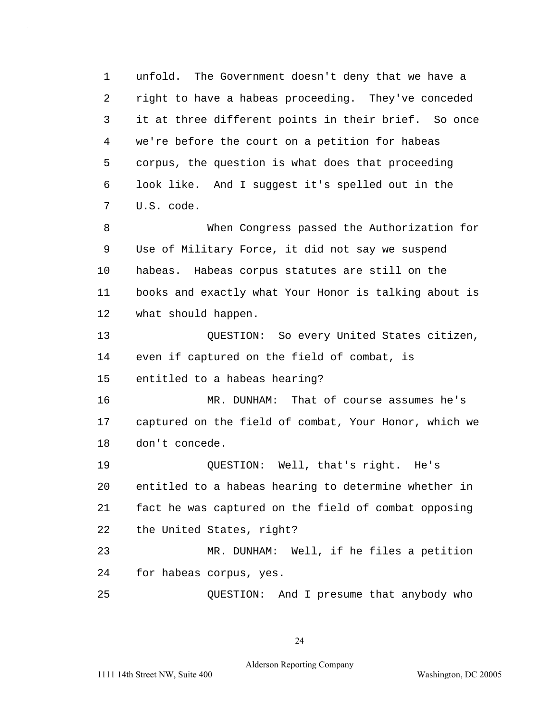1 unfold. The Government doesn't deny that we have a 2 right to have a habeas proceeding. They've conceded 3 it at three different points in their brief. So once 4 we're before the court on a petition for habeas 5 corpus, the question is what does that proceeding 6 look like. And I suggest it's spelled out in the 7 U.S. code.

8 When Congress passed the Authorization for 9 Use of Military Force, it did not say we suspend 10 habeas. Habeas corpus statutes are still on the 11 books and exactly what Your Honor is talking about is 12 what should happen.

13 QUESTION: So every United States citizen, 14 even if captured on the field of combat, is 15 entitled to a habeas hearing?

16 MR. DUNHAM: That of course assumes he's 17 captured on the field of combat, Your Honor, which we 18 don't concede.

19 QUESTION: Well, that's right. He's 20 entitled to a habeas hearing to determine whether in 21 fact he was captured on the field of combat opposing 22 the United States, right?

23 MR. DUNHAM: Well, if he files a petition 24 for habeas corpus, yes.

25 QUESTION: And I presume that anybody who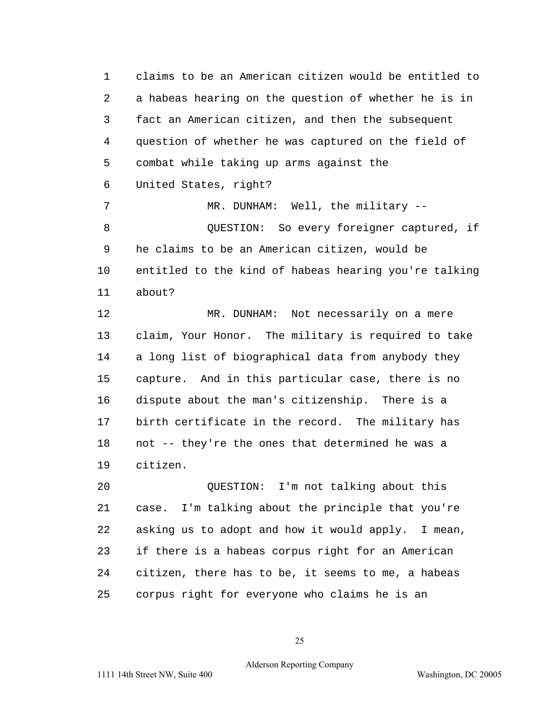1 claims to be an American citizen would be entitled to 2 a habeas hearing on the question of whether he is in 3 fact an American citizen, and then the subsequent 4 question of whether he was captured on the field of 5 combat while taking up arms against the 6 United States, right?

7 MR. DUNHAM: Well, the military --8 QUESTION: So every foreigner captured, if 9 he claims to be an American citizen, would be 10 entitled to the kind of habeas hearing you're talking 11 about?

12 MR. DUNHAM: Not necessarily on a mere 13 claim, Your Honor. The military is required to take 14 a long list of biographical data from anybody they 15 capture. And in this particular case, there is no 16 dispute about the man's citizenship. There is a 17 birth certificate in the record. The military has 18 not -- they're the ones that determined he was a 19 citizen.

20 QUESTION: I'm not talking about this 21 case. I'm talking about the principle that you're 22 asking us to adopt and how it would apply. I mean, 23 if there is a habeas corpus right for an American 24 citizen, there has to be, it seems to me, a habeas 25 corpus right for everyone who claims he is an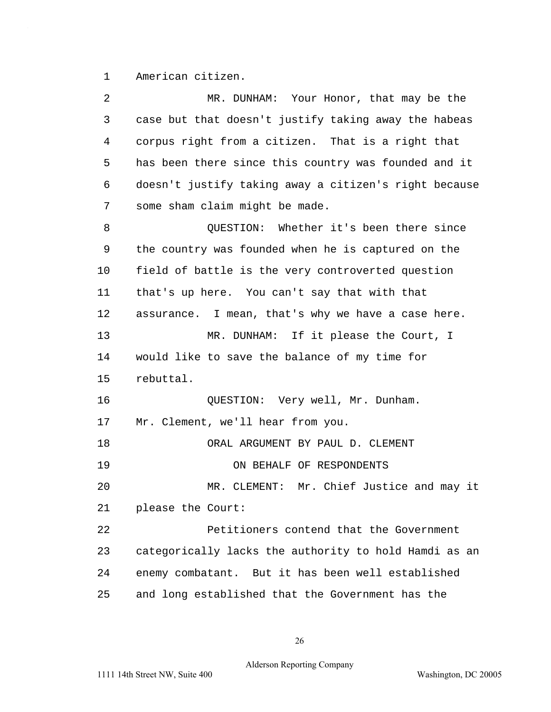1 American citizen.

2 MR. DUNHAM: Your Honor, that may be the 3 case but that doesn't justify taking away the habeas 4 corpus right from a citizen. That is a right that 5 has been there since this country was founded and it 6 doesn't justify taking away a citizen's right because 7 some sham claim might be made. 8 QUESTION: Whether it's been there since 9 the country was founded when he is captured on the 10 field of battle is the very controverted question 11 that's up here. You can't say that with that 12 assurance. I mean, that's why we have a case here. 13 MR. DUNHAM: If it please the Court, I 14 would like to save the balance of my time for 15 rebuttal. 16 QUESTION: Very well, Mr. Dunham. 17 Mr. Clement, we'll hear from you. 18 ORAL ARGUMENT BY PAUL D. CLEMENT 19 ON BEHALF OF RESPONDENTS 20 MR. CLEMENT: Mr. Chief Justice and may it 21 please the Court: 22 Petitioners contend that the Government 23 categorically lacks the authority to hold Hamdi as an 24 enemy combatant. But it has been well established 25 and long established that the Government has the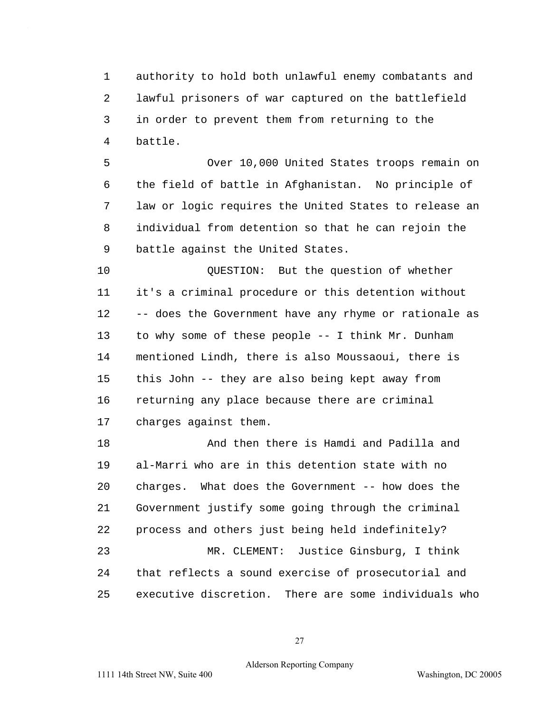1 authority to hold both unlawful enemy combatants and 2 lawful prisoners of war captured on the battlefield 3 in order to prevent them from returning to the 4 battle.

5 Over 10,000 United States troops remain on 6 the field of battle in Afghanistan. No principle of 7 law or logic requires the United States to release an 8 individual from detention so that he can rejoin the 9 battle against the United States.

10 QUESTION: But the question of whether 11 it's a criminal procedure or this detention without 12 -- does the Government have any rhyme or rationale as 13 to why some of these people -- I think Mr. Dunham 14 mentioned Lindh, there is also Moussaoui, there is 15 this John -- they are also being kept away from 16 returning any place because there are criminal 17 charges against them.

18 And then there is Hamdi and Padilla and 19 al-Marri who are in this detention state with no 20 charges. What does the Government -- how does the 21 Government justify some going through the criminal 22 process and others just being held indefinitely? 23 MR. CLEMENT: Justice Ginsburg, I think 24 that reflects a sound exercise of prosecutorial and 25 executive discretion. There are some individuals who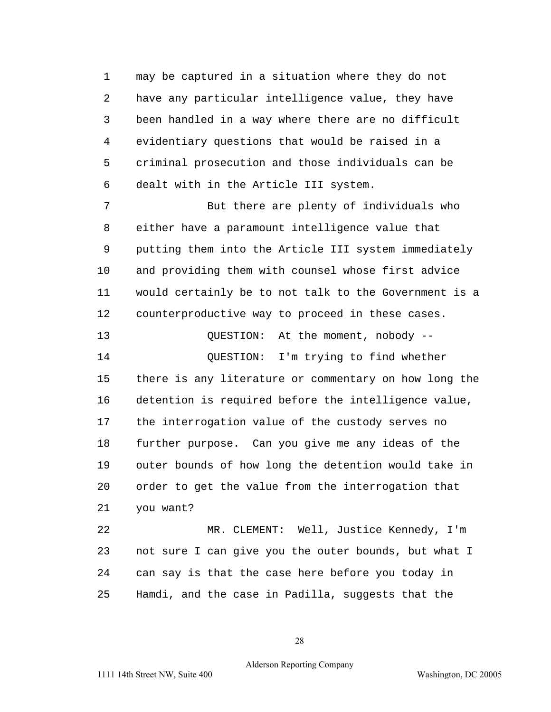1 may be captured in a situation where they do not 2 have any particular intelligence value, they have 3 been handled in a way where there are no difficult 4 evidentiary questions that would be raised in a 5 criminal prosecution and those individuals can be 6 dealt with in the Article III system.

7 But there are plenty of individuals who 8 either have a paramount intelligence value that 9 putting them into the Article III system immediately 10 and providing them with counsel whose first advice 11 would certainly be to not talk to the Government is a 12 counterproductive way to proceed in these cases.

13 QUESTION: At the moment, nobody -- 14 QUESTION: I'm trying to find whether 15 there is any literature or commentary on how long the 16 detention is required before the intelligence value, 17 the interrogation value of the custody serves no 18 further purpose. Can you give me any ideas of the 19 outer bounds of how long the detention would take in 20 order to get the value from the interrogation that 21 you want?

22 MR. CLEMENT: Well, Justice Kennedy, I'm 23 not sure I can give you the outer bounds, but what I 24 can say is that the case here before you today in 25 Hamdi, and the case in Padilla, suggests that the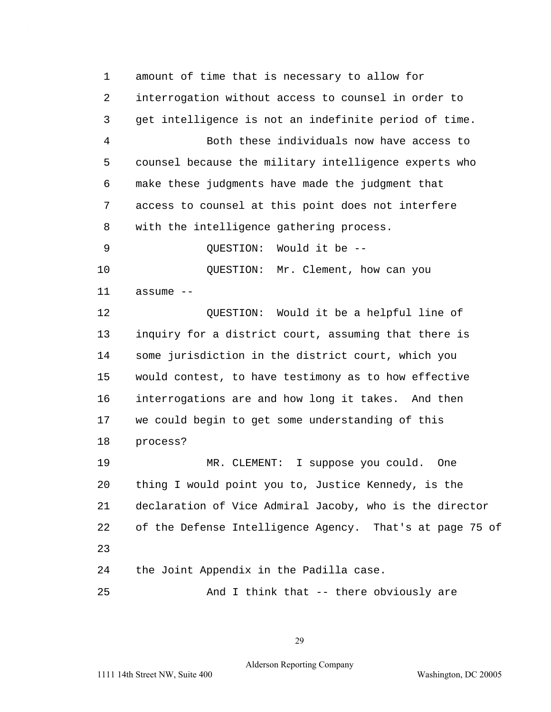1 amount of time that is necessary to allow for 2 interrogation without access to counsel in order to 3 get intelligence is not an indefinite period of time. 4 Both these individuals now have access to 5 counsel because the military intelligence experts who 6 make these judgments have made the judgment that 7 access to counsel at this point does not interfere 8 with the intelligence gathering process. 9 OUESTION: Would it be --10 OUESTION: Mr. Clement, how can you 11 assume --12 QUESTION: Would it be a helpful line of 13 inquiry for a district court, assuming that there is 14 some jurisdiction in the district court, which you 15 would contest, to have testimony as to how effective 16 interrogations are and how long it takes. And then 17 we could begin to get some understanding of this 18 process? 19 MR. CLEMENT: I suppose you could. One 20 thing I would point you to, Justice Kennedy, is the 21 declaration of Vice Admiral Jacoby, who is the director 22 of the Defense Intelligence Agency. That's at page 75 of 23 24 the Joint Appendix in the Padilla case. 25 And I think that -- there obviously are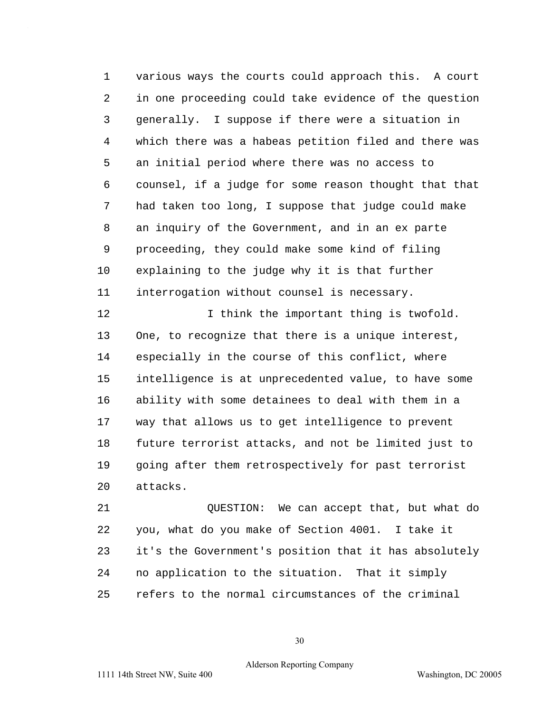1 various ways the courts could approach this. A court 2 in one proceeding could take evidence of the question 3 generally. I suppose if there were a situation in 4 which there was a habeas petition filed and there was 5 an initial period where there was no access to 6 counsel, if a judge for some reason thought that that 7 had taken too long, I suppose that judge could make 8 an inquiry of the Government, and in an ex parte 9 proceeding, they could make some kind of filing 10 explaining to the judge why it is that further 11 interrogation without counsel is necessary.

12 12 I think the important thing is twofold. 13 One, to recognize that there is a unique interest, 14 especially in the course of this conflict, where 15 intelligence is at unprecedented value, to have some 16 ability with some detainees to deal with them in a 17 way that allows us to get intelligence to prevent 18 future terrorist attacks, and not be limited just to 19 going after them retrospectively for past terrorist 20 attacks.

21 QUESTION: We can accept that, but what do 22 you, what do you make of Section 4001. I take it 23 it's the Government's position that it has absolutely 24 no application to the situation. That it simply 25 refers to the normal circumstances of the criminal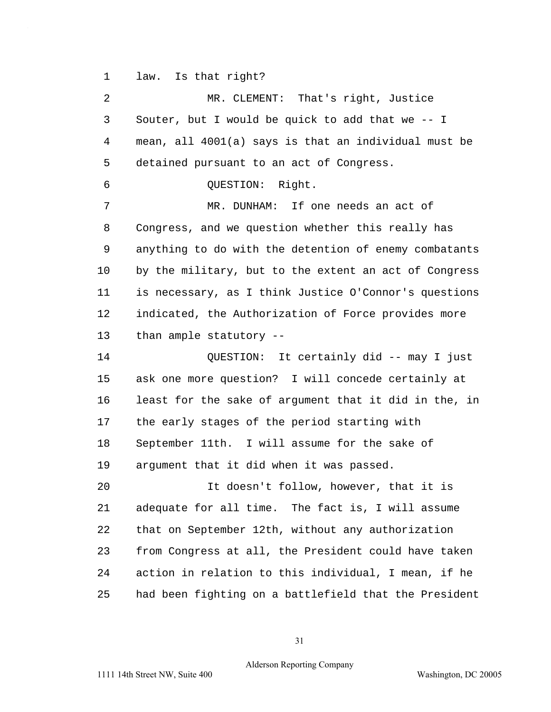1 law. Is that right?

2 MR. CLEMENT: That's right, Justice 3 Souter, but I would be quick to add that we -- I 4 mean, all 4001(a) says is that an individual must be 5 detained pursuant to an act of Congress. 6 QUESTION: Right. 7 MR. DUNHAM: If one needs an act of 8 Congress, and we question whether this really has 9 anything to do with the detention of enemy combatants 10 by the military, but to the extent an act of Congress 11 is necessary, as I think Justice O'Connor's questions 12 indicated, the Authorization of Force provides more 13 than ample statutory -- 14 QUESTION: It certainly did -- may I just 15 ask one more question? I will concede certainly at 16 least for the sake of argument that it did in the, in 17 the early stages of the period starting with 18 September 11th. I will assume for the sake of 19 argument that it did when it was passed. 20 It doesn't follow, however, that it is 21 adequate for all time. The fact is, I will assume 22 that on September 12th, without any authorization 23 from Congress at all, the President could have taken 24 action in relation to this individual, I mean, if he 25 had been fighting on a battlefield that the President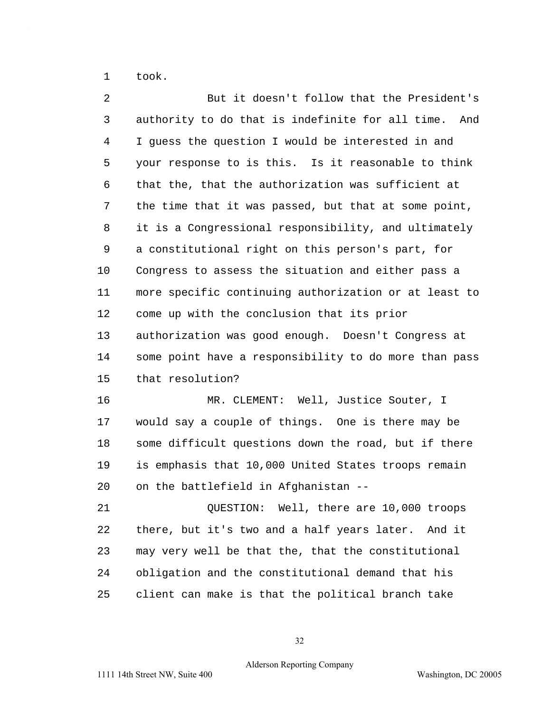1 took.

2 But it doesn't follow that the President's 3 authority to do that is indefinite for all time. And 4 I guess the question I would be interested in and 5 your response to is this. Is it reasonable to think 6 that the, that the authorization was sufficient at 7 the time that it was passed, but that at some point, 8 it is a Congressional responsibility, and ultimately 9 a constitutional right on this person's part, for 10 Congress to assess the situation and either pass a 11 more specific continuing authorization or at least to 12 come up with the conclusion that its prior 13 authorization was good enough. Doesn't Congress at 14 some point have a responsibility to do more than pass 15 that resolution? 16 MR. CLEMENT: Well, Justice Souter, I 17 would say a couple of things. One is there may be 18 some difficult questions down the road, but if there 19 is emphasis that 10,000 United States troops remain 20 on the battlefield in Afghanistan --21 QUESTION: Well, there are 10,000 troops 22 there, but it's two and a half years later. And it 23 may very well be that the, that the constitutional 24 obligation and the constitutional demand that his 25 client can make is that the political branch take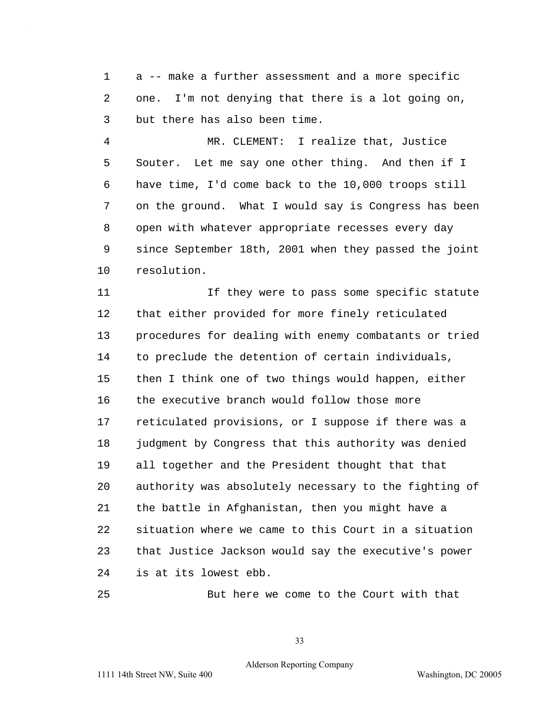1 a -- make a further assessment and a more specific 2 one. I'm not denying that there is a lot going on, 3 but there has also been time.

4 MR. CLEMENT: I realize that, Justice 5 Souter. Let me say one other thing. And then if I 6 have time, I'd come back to the 10,000 troops still 7 on the ground. What I would say is Congress has been 8 open with whatever appropriate recesses every day 9 since September 18th, 2001 when they passed the joint 10 resolution.

11 If they were to pass some specific statute 12 that either provided for more finely reticulated 13 procedures for dealing with enemy combatants or tried 14 to preclude the detention of certain individuals, 15 then I think one of two things would happen, either 16 the executive branch would follow those more 17 reticulated provisions, or I suppose if there was a 18 judgment by Congress that this authority was denied 19 all together and the President thought that that 20 authority was absolutely necessary to the fighting of 21 the battle in Afghanistan, then you might have a 22 situation where we came to this Court in a situation 23 that Justice Jackson would say the executive's power 24 is at its lowest ebb.

25 But here we come to the Court with that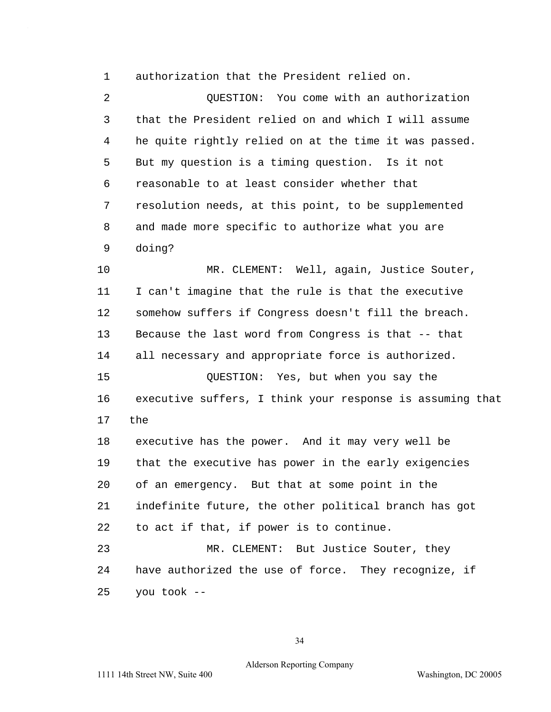1 authorization that the President relied on.

2 QUESTION: You come with an authorization 3 that the President relied on and which I will assume 4 he quite rightly relied on at the time it was passed. 5 But my question is a timing question. Is it not 6 reasonable to at least consider whether that 7 resolution needs, at this point, to be supplemented 8 and made more specific to authorize what you are 9 doing?

10 MR. CLEMENT: Well, again, Justice Souter, 11 I can't imagine that the rule is that the executive 12 somehow suffers if Congress doesn't fill the breach. 13 Because the last word from Congress is that -- that 14 all necessary and appropriate force is authorized. 15 QUESTION: Yes, but when you say the 16 executive suffers, I think your response is assuming that 17 the 18 executive has the power. And it may very well be 19 that the executive has power in the early exigencies 20 of an emergency. But that at some point in the 21 indefinite future, the other political branch has got 22 to act if that, if power is to continue. 23 MR. CLEMENT: But Justice Souter, they 24 have authorized the use of force. They recognize, if

25 you took --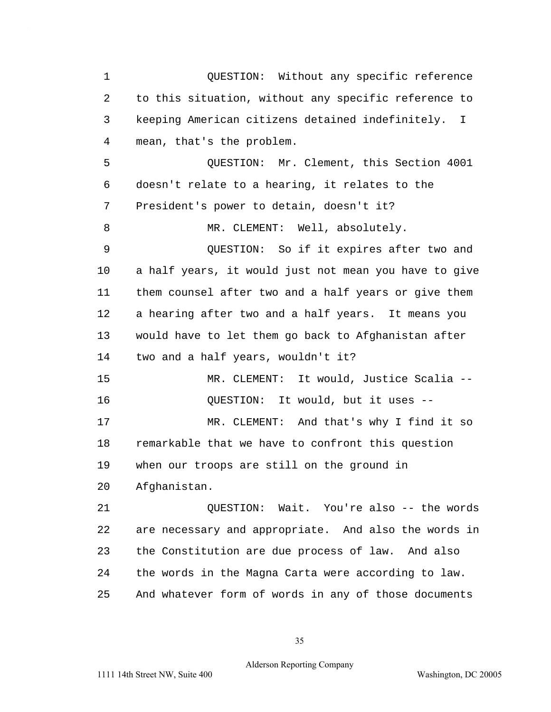1 QUESTION: Without any specific reference 2 to this situation, without any specific reference to 3 keeping American citizens detained indefinitely. I 4 mean, that's the problem. 5 QUESTION: Mr. Clement, this Section 4001 6 doesn't relate to a hearing, it relates to the 7 President's power to detain, doesn't it? 8 MR. CLEMENT: Well, absolutely. 9 QUESTION: So if it expires after two and 10 a half years, it would just not mean you have to give 11 them counsel after two and a half years or give them 12 a hearing after two and a half years. It means you 13 would have to let them go back to Afghanistan after 14 two and a half years, wouldn't it? 15 MR. CLEMENT: It would, Justice Scalia --16 QUESTION: It would, but it uses --17 MR. CLEMENT: And that's why I find it so 18 remarkable that we have to confront this question 19 when our troops are still on the ground in 20 Afghanistan. 21 QUESTION: Wait. You're also -- the words 22 are necessary and appropriate. And also the words in 23 the Constitution are due process of law. And also 24 the words in the Magna Carta were according to law. 25 And whatever form of words in any of those documents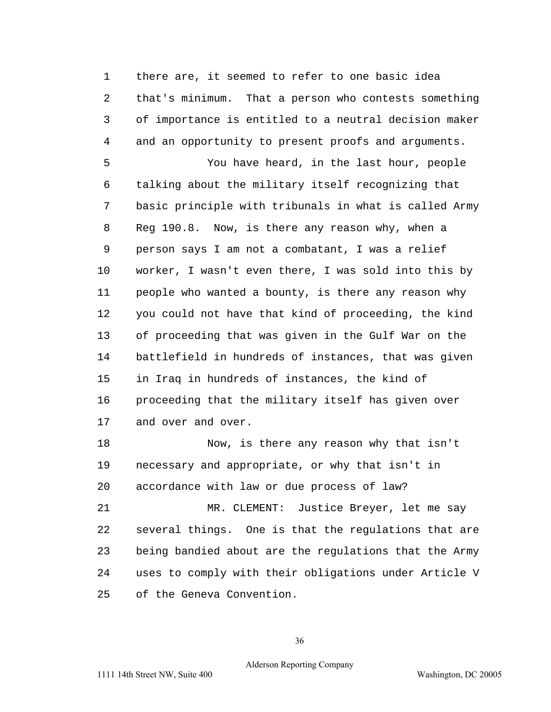1 there are, it seemed to refer to one basic idea 2 that's minimum. That a person who contests something 3 of importance is entitled to a neutral decision maker 4 and an opportunity to present proofs and arguments.

5 You have heard, in the last hour, people 6 talking about the military itself recognizing that 7 basic principle with tribunals in what is called Army 8 Reg 190.8. Now, is there any reason why, when a 9 person says I am not a combatant, I was a relief 10 worker, I wasn't even there, I was sold into this by 11 people who wanted a bounty, is there any reason why 12 you could not have that kind of proceeding, the kind 13 of proceeding that was given in the Gulf War on the 14 battlefield in hundreds of instances, that was given 15 in Iraq in hundreds of instances, the kind of 16 proceeding that the military itself has given over 17 and over and over.

18 Now, is there any reason why that isn't 19 necessary and appropriate, or why that isn't in 20 accordance with law or due process of law?

21 MR. CLEMENT: Justice Breyer, let me say 22 several things. One is that the regulations that are 23 being bandied about are the regulations that the Army 24 uses to comply with their obligations under Article V 25 of the Geneva Convention.

36

## Alderson Reporting Company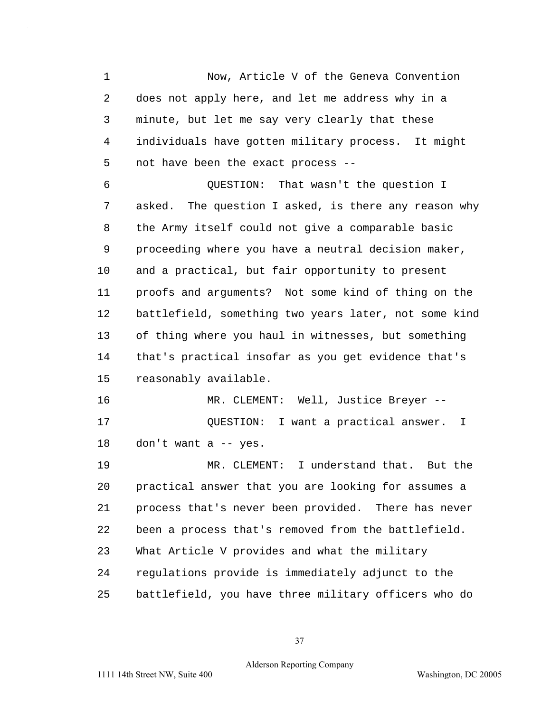1 Now, Article V of the Geneva Convention 2 does not apply here, and let me address why in a 3 minute, but let me say very clearly that these 4 individuals have gotten military process. It might 5 not have been the exact process -- 6 QUESTION: That wasn't the question I 7 asked. The question I asked, is there any reason why 8 the Army itself could not give a comparable basic 9 proceeding where you have a neutral decision maker, 10 and a practical, but fair opportunity to present 11 proofs and arguments? Not some kind of thing on the 12 battlefield, something two years later, not some kind 13 of thing where you haul in witnesses, but something 14 that's practical insofar as you get evidence that's 15 reasonably available. 16 MR. CLEMENT: Well, Justice Breyer -- 17 QUESTION: I want a practical answer. I 18 don't want a -- yes. 19 MR. CLEMENT: I understand that. But the 20 practical answer that you are looking for assumes a 21 process that's never been provided. There has never 22 been a process that's removed from the battlefield. 23 What Article V provides and what the military 24 regulations provide is immediately adjunct to the 25 battlefield, you have three military officers who do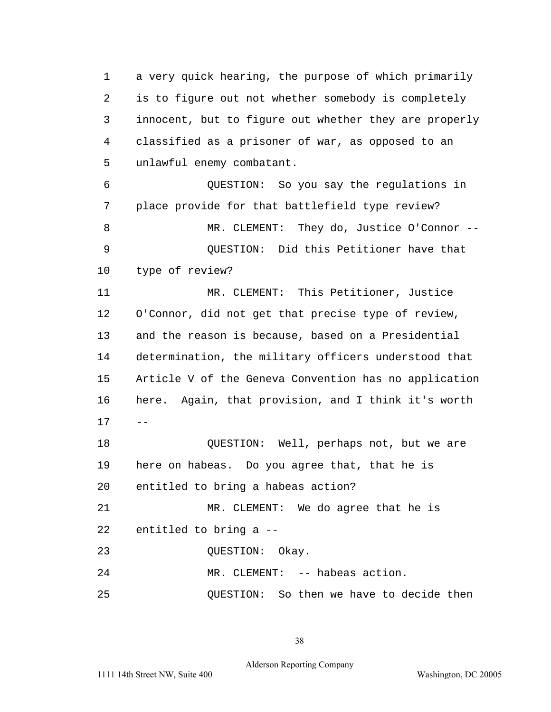1 a very quick hearing, the purpose of which primarily 2 is to figure out not whether somebody is completely 3 innocent, but to figure out whether they are properly 4 classified as a prisoner of war, as opposed to an 5 unlawful enemy combatant.

6 QUESTION: So you say the regulations in 7 place provide for that battlefield type review? 8 MR. CLEMENT: They do, Justice O'Connor -- 9 QUESTION: Did this Petitioner have that 10 type of review?

11 MR. CLEMENT: This Petitioner, Justice 12 O'Connor, did not get that precise type of review, 13 and the reason is because, based on a Presidential 14 determination, the military officers understood that 15 Article V of the Geneva Convention has no application 16 here. Again, that provision, and I think it's worth  $17 - -$ 18 QUESTION: Well, perhaps not, but we are 19 here on habeas. Do you agree that, that he is

20 entitled to bring a habeas action?

21 MR. CLEMENT: We do agree that he is 22 entitled to bring a --

23 OUESTION: Okay.

24 MR. CLEMENT: -- habeas action.

25 QUESTION: So then we have to decide then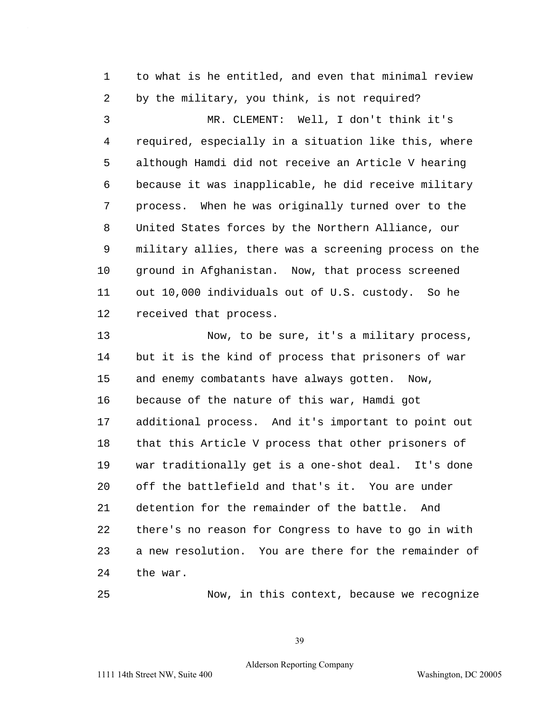1 to what is he entitled, and even that minimal review 2 by the military, you think, is not required? 3 MR. CLEMENT: Well, I don't think it's 4 required, especially in a situation like this, where 5 although Hamdi did not receive an Article V hearing 6 because it was inapplicable, he did receive military 7 process. When he was originally turned over to the 8 United States forces by the Northern Alliance, our 9 military allies, there was a screening process on the 10 ground in Afghanistan. Now, that process screened 11 out 10,000 individuals out of U.S. custody. So he 12 received that process.

13 Now, to be sure, it's a military process, 14 but it is the kind of process that prisoners of war 15 and enemy combatants have always gotten. Now, 16 because of the nature of this war, Hamdi got 17 additional process. And it's important to point out 18 that this Article V process that other prisoners of 19 war traditionally get is a one-shot deal. It's done 20 off the battlefield and that's it. You are under 21 detention for the remainder of the battle. And 22 there's no reason for Congress to have to go in with 23 a new resolution. You are there for the remainder of 24 the war.

25 Now, in this context, because we recognize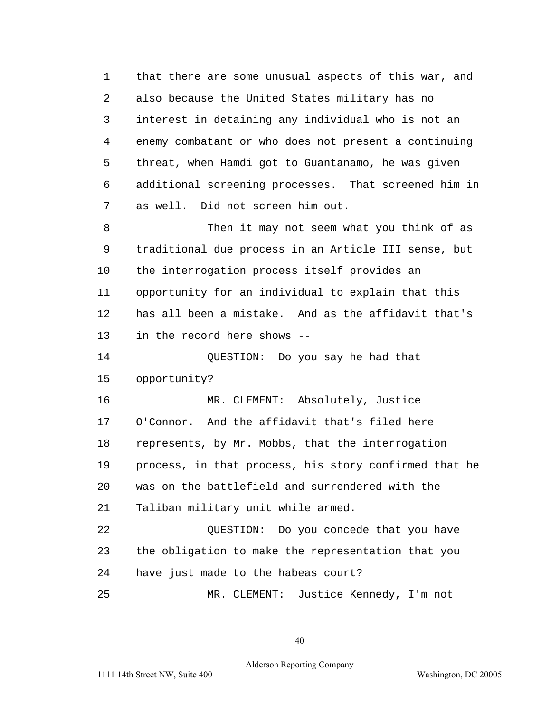1 that there are some unusual aspects of this war, and 2 also because the United States military has no 3 interest in detaining any individual who is not an 4 enemy combatant or who does not present a continuing 5 threat, when Hamdi got to Guantanamo, he was given 6 additional screening processes. That screened him in 7 as well. Did not screen him out.

8 Then it may not seem what you think of as 9 traditional due process in an Article III sense, but 10 the interrogation process itself provides an 11 opportunity for an individual to explain that this 12 has all been a mistake. And as the affidavit that's 13 in the record here shows --

14 QUESTION: Do you say he had that 15 opportunity?

16 MR. CLEMENT: Absolutely, Justice 17 O'Connor. And the affidavit that's filed here 18 represents, by Mr. Mobbs, that the interrogation 19 process, in that process, his story confirmed that he 20 was on the battlefield and surrendered with the 21 Taliban military unit while armed.

22 QUESTION: Do you concede that you have 23 the obligation to make the representation that you 24 have just made to the habeas court? 25 MR. CLEMENT: Justice Kennedy, I'm not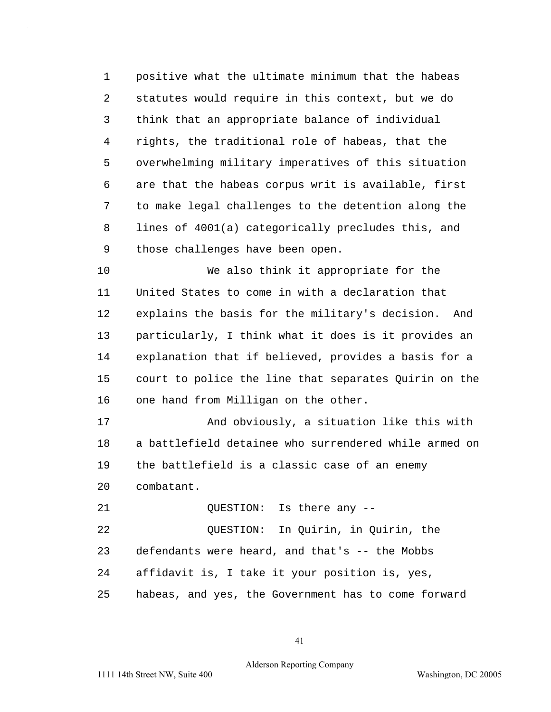1 positive what the ultimate minimum that the habeas 2 statutes would require in this context, but we do 3 think that an appropriate balance of individual 4 rights, the traditional role of habeas, that the 5 overwhelming military imperatives of this situation 6 are that the habeas corpus writ is available, first 7 to make legal challenges to the detention along the 8 lines of 4001(a) categorically precludes this, and 9 those challenges have been open.

10 We also think it appropriate for the 11 United States to come in with a declaration that 12 explains the basis for the military's decision. And 13 particularly, I think what it does is it provides an 14 explanation that if believed, provides a basis for a 15 court to police the line that separates Quirin on the 16 one hand from Milligan on the other.

17 And obviously, a situation like this with 18 a battlefield detainee who surrendered while armed on 19 the battlefield is a classic case of an enemy 20 combatant.

21 OUESTION: Is there any --

22 QUESTION: In Quirin, in Quirin, the 23 defendants were heard, and that's -- the Mobbs 24 affidavit is, I take it your position is, yes, 25 habeas, and yes, the Government has to come forward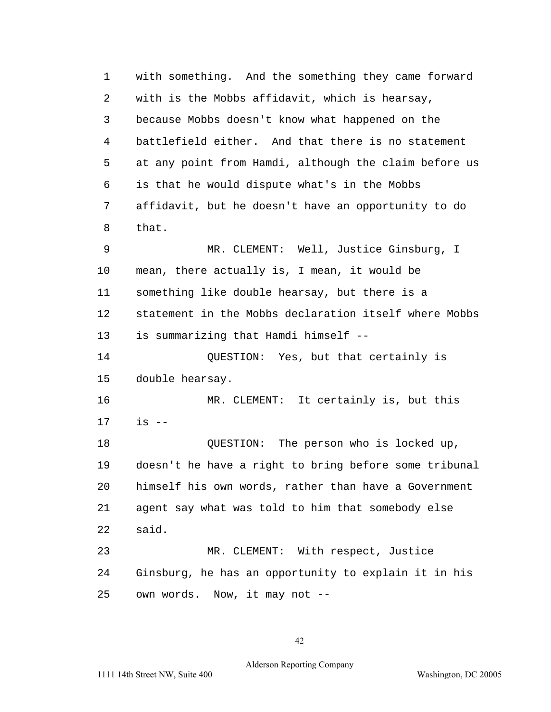1 with something. And the something they came forward 2 with is the Mobbs affidavit, which is hearsay, 3 because Mobbs doesn't know what happened on the 4 battlefield either. And that there is no statement 5 at any point from Hamdi, although the claim before us 6 is that he would dispute what's in the Mobbs 7 affidavit, but he doesn't have an opportunity to do 8 that. 9 MR. CLEMENT: Well, Justice Ginsburg, I 10 mean, there actually is, I mean, it would be 11 something like double hearsay, but there is a 12 statement in the Mobbs declaration itself where Mobbs 13 is summarizing that Hamdi himself --14 QUESTION: Yes, but that certainly is 15 double hearsay. 16 MR. CLEMENT: It certainly is, but this 17 is --18 QUESTION: The person who is locked up, 19 doesn't he have a right to bring before some tribunal 20 himself his own words, rather than have a Government 21 agent say what was told to him that somebody else 22 said. 23 MR. CLEMENT: With respect, Justice 24 Ginsburg, he has an opportunity to explain it in his 25 own words. Now, it may not --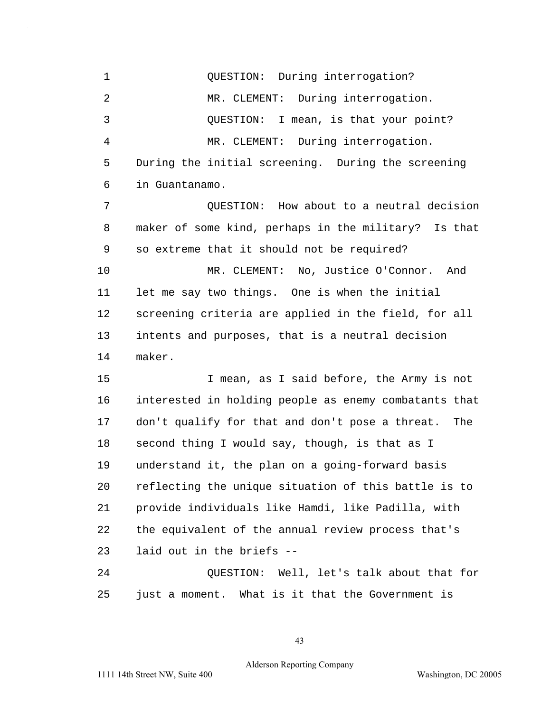1 OUESTION: During interrogation? 2 MR. CLEMENT: During interrogation. 3 QUESTION: I mean, is that your point? 4 MR. CLEMENT: During interrogation. 5 During the initial screening. During the screening 6 in Guantanamo. 7 QUESTION: How about to a neutral decision 8 maker of some kind, perhaps in the military? Is that 9 so extreme that it should not be required? 10 MR. CLEMENT: No, Justice O'Connor. And 11 let me say two things. One is when the initial 12 screening criteria are applied in the field, for all 13 intents and purposes, that is a neutral decision 14 maker. 15 I mean, as I said before, the Army is not 16 interested in holding people as enemy combatants that 17 don't qualify for that and don't pose a threat. The 18 second thing I would say, though, is that as I 19 understand it, the plan on a going-forward basis 20 reflecting the unique situation of this battle is to 21 provide individuals like Hamdi, like Padilla, with 22 the equivalent of the annual review process that's 23 laid out in the briefs --24 QUESTION: Well, let's talk about that for 25 just a moment. What is it that the Government is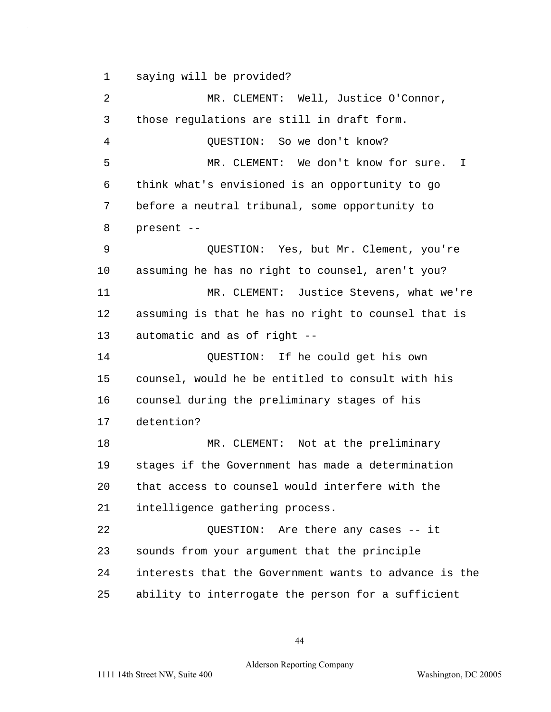1 saying will be provided?

2 MR. CLEMENT: Well, Justice O'Connor, 3 those regulations are still in draft form. 4 OUESTION: So we don't know? 5 MR. CLEMENT: We don't know for sure. I 6 think what's envisioned is an opportunity to go 7 before a neutral tribunal, some opportunity to 8 present -- 9 QUESTION: Yes, but Mr. Clement, you're 10 assuming he has no right to counsel, aren't you? 11 MR. CLEMENT: Justice Stevens, what we're 12 assuming is that he has no right to counsel that is 13 automatic and as of right --14 QUESTION: If he could get his own 15 counsel, would he be entitled to consult with his 16 counsel during the preliminary stages of his 17 detention? 18 MR. CLEMENT: Not at the preliminary 19 stages if the Government has made a determination 20 that access to counsel would interfere with the 21 intelligence gathering process. 22 QUESTION: Are there any cases -- it 23 sounds from your argument that the principle 24 interests that the Government wants to advance is the 25 ability to interrogate the person for a sufficient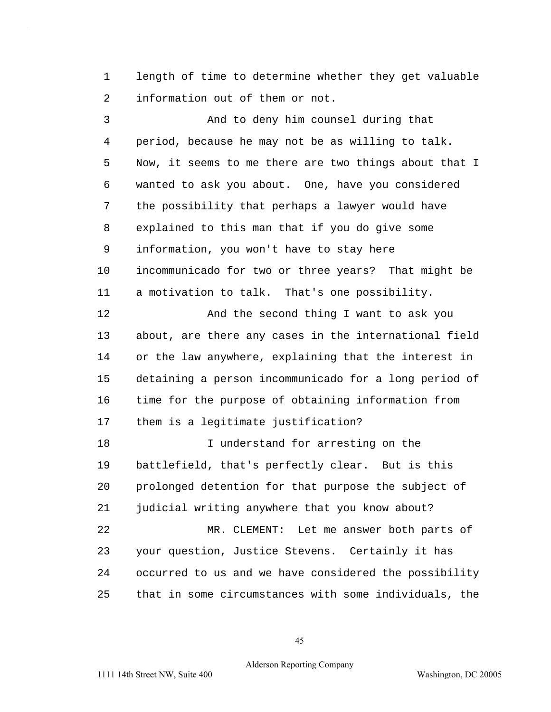1 length of time to determine whether they get valuable 2 information out of them or not.

3 And to deny him counsel during that 4 period, because he may not be as willing to talk. 5 Now, it seems to me there are two things about that I 6 wanted to ask you about. One, have you considered 7 the possibility that perhaps a lawyer would have 8 explained to this man that if you do give some 9 information, you won't have to stay here 10 incommunicado for two or three years? That might be 11 a motivation to talk. That's one possibility. 12 And the second thing I want to ask you 13 about, are there any cases in the international field 14 or the law anywhere, explaining that the interest in 15 detaining a person incommunicado for a long period of 16 time for the purpose of obtaining information from 17 them is a legitimate justification? 18 I understand for arresting on the 19 battlefield, that's perfectly clear. But is this 20 prolonged detention for that purpose the subject of 21 judicial writing anywhere that you know about? 22 MR. CLEMENT: Let me answer both parts of 23 your question, Justice Stevens. Certainly it has 24 occurred to us and we have considered the possibility 25 that in some circumstances with some individuals, the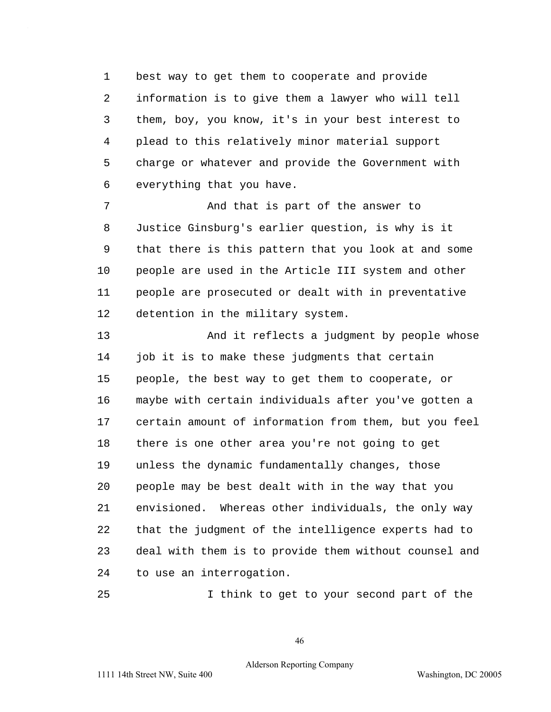1 best way to get them to cooperate and provide 2 information is to give them a lawyer who will tell 3 them, boy, you know, it's in your best interest to 4 plead to this relatively minor material support 5 charge or whatever and provide the Government with 6 everything that you have.

7 The South Mand that is part of the answer to 8 Justice Ginsburg's earlier question, is why is it 9 that there is this pattern that you look at and some 10 people are used in the Article III system and other 11 people are prosecuted or dealt with in preventative 12 detention in the military system.

13 And it reflects a judgment by people whose 14 job it is to make these judgments that certain 15 people, the best way to get them to cooperate, or 16 maybe with certain individuals after you've gotten a 17 certain amount of information from them, but you feel 18 there is one other area you're not going to get 19 unless the dynamic fundamentally changes, those 20 people may be best dealt with in the way that you 21 envisioned. Whereas other individuals, the only way 22 that the judgment of the intelligence experts had to 23 deal with them is to provide them without counsel and 24 to use an interrogation.

25 I think to get to your second part of the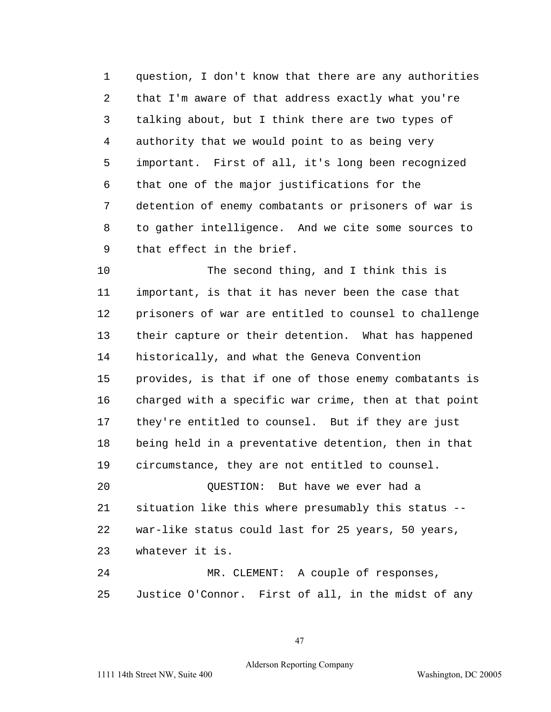1 question, I don't know that there are any authorities 2 that I'm aware of that address exactly what you're 3 talking about, but I think there are two types of 4 authority that we would point to as being very 5 important. First of all, it's long been recognized 6 that one of the major justifications for the 7 detention of enemy combatants or prisoners of war is 8 to gather intelligence. And we cite some sources to 9 that effect in the brief.

10 The second thing, and I think this is 11 important, is that it has never been the case that 12 prisoners of war are entitled to counsel to challenge 13 their capture or their detention. What has happened 14 historically, and what the Geneva Convention 15 provides, is that if one of those enemy combatants is 16 charged with a specific war crime, then at that point 17 they're entitled to counsel. But if they are just 18 being held in a preventative detention, then in that 19 circumstance, they are not entitled to counsel.

20 QUESTION: But have we ever had a 21 situation like this where presumably this status --22 war-like status could last for 25 years, 50 years, 23 whatever it is.

24 MR. CLEMENT: A couple of responses, 25 Justice O'Connor. First of all, in the midst of any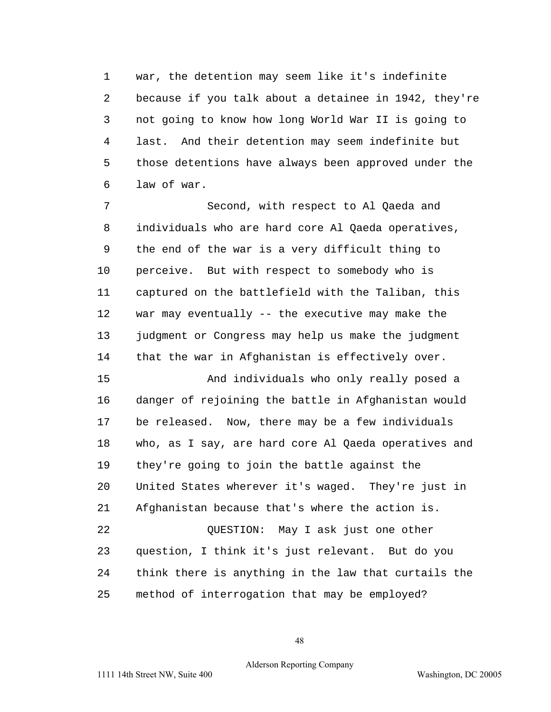1 war, the detention may seem like it's indefinite 2 because if you talk about a detainee in 1942, they're 3 not going to know how long World War II is going to 4 last. And their detention may seem indefinite but 5 those detentions have always been approved under the 6 law of war.

7 Second, with respect to Al Qaeda and 8 individuals who are hard core Al Qaeda operatives, 9 the end of the war is a very difficult thing to 10 perceive. But with respect to somebody who is 11 captured on the battlefield with the Taliban, this 12 war may eventually -- the executive may make the 13 judgment or Congress may help us make the judgment 14 that the war in Afghanistan is effectively over.

15 And individuals who only really posed a 16 danger of rejoining the battle in Afghanistan would 17 be released. Now, there may be a few individuals 18 who, as I say, are hard core Al Qaeda operatives and 19 they're going to join the battle against the 20 United States wherever it's waged. They're just in 21 Afghanistan because that's where the action is. 22 OUESTION: May I ask just one other 23 question, I think it's just relevant. But do you 24 think there is anything in the law that curtails the

25 method of interrogation that may be employed?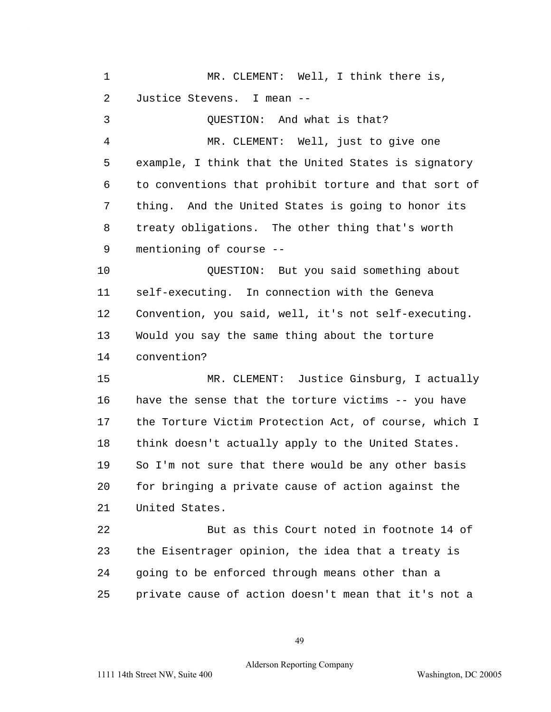1 MR. CLEMENT: Well, I think there is, 2 Justice Stevens. I mean --3 QUESTION: And what is that? 4 MR. CLEMENT: Well, just to give one 5 example, I think that the United States is signatory 6 to conventions that prohibit torture and that sort of 7 thing. And the United States is going to honor its 8 treaty obligations. The other thing that's worth 9 mentioning of course --10 QUESTION: But you said something about 11 self-executing. In connection with the Geneva 12 Convention, you said, well, it's not self-executing. 13 Would you say the same thing about the torture 14 convention? 15 MR. CLEMENT: Justice Ginsburg, I actually 16 have the sense that the torture victims -- you have 17 the Torture Victim Protection Act, of course, which I 18 think doesn't actually apply to the United States. 19 So I'm not sure that there would be any other basis 20 for bringing a private cause of action against the 21 United States. 22 But as this Court noted in footnote 14 of 23 the Eisentrager opinion, the idea that a treaty is 24 going to be enforced through means other than a 25 private cause of action doesn't mean that it's not a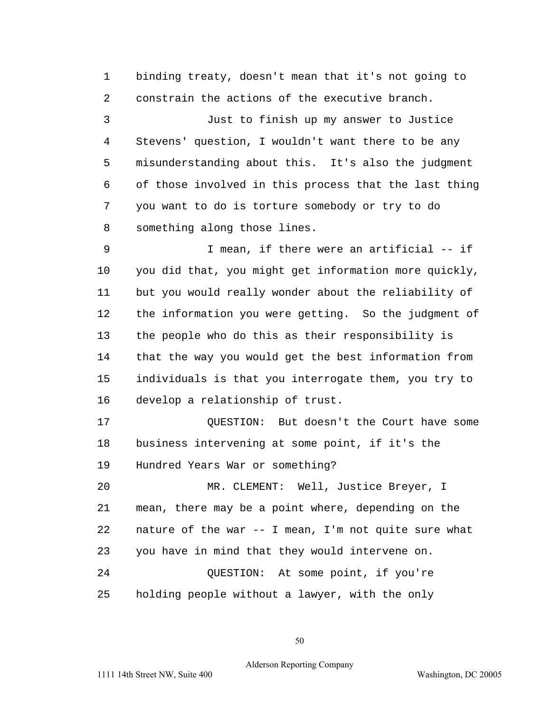1 binding treaty, doesn't mean that it's not going to 2 constrain the actions of the executive branch.

3 Just to finish up my answer to Justice 4 Stevens' question, I wouldn't want there to be any 5 misunderstanding about this. It's also the judgment 6 of those involved in this process that the last thing 7 you want to do is torture somebody or try to do 8 something along those lines.

9 I mean, if there were an artificial -- if 10 you did that, you might get information more quickly, 11 but you would really wonder about the reliability of 12 the information you were getting. So the judgment of 13 the people who do this as their responsibility is 14 that the way you would get the best information from 15 individuals is that you interrogate them, you try to 16 develop a relationship of trust.

17 **QUESTION:** But doesn't the Court have some 18 business intervening at some point, if it's the 19 Hundred Years War or something?

20 MR. CLEMENT: Well, Justice Breyer, I 21 mean, there may be a point where, depending on the 22 nature of the war -- I mean, I'm not quite sure what 23 you have in mind that they would intervene on. 24 QUESTION: At some point, if you're 25 holding people without a lawyer, with the only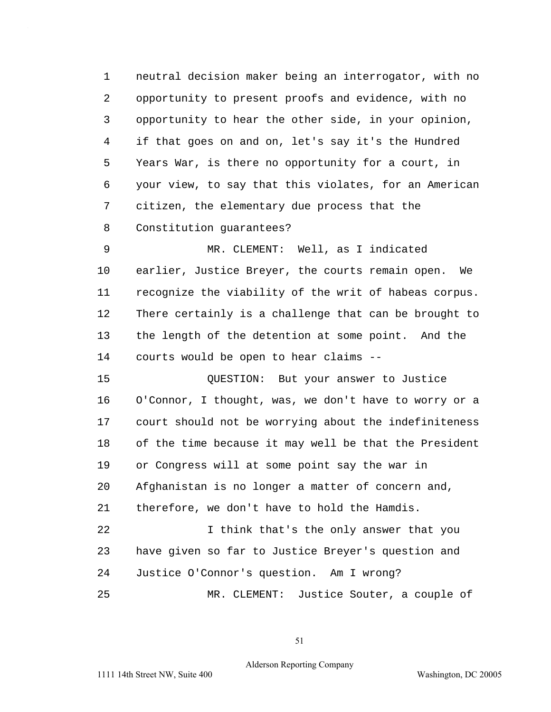1 neutral decision maker being an interrogator, with no 2 opportunity to present proofs and evidence, with no 3 opportunity to hear the other side, in your opinion, 4 if that goes on and on, let's say it's the Hundred 5 Years War, is there no opportunity for a court, in 6 your view, to say that this violates, for an American 7 citizen, the elementary due process that the 8 Constitution guarantees?

9 MR. CLEMENT: Well, as I indicated 10 earlier, Justice Breyer, the courts remain open. We 11 recognize the viability of the writ of habeas corpus. 12 There certainly is a challenge that can be brought to 13 the length of the detention at some point. And the 14 courts would be open to hear claims --

15 QUESTION: But your answer to Justice 16 O'Connor, I thought, was, we don't have to worry or a 17 court should not be worrying about the indefiniteness 18 of the time because it may well be that the President 19 or Congress will at some point say the war in 20 Afghanistan is no longer a matter of concern and, 21 therefore, we don't have to hold the Hamdis. 22 I think that's the only answer that you 23 have given so far to Justice Breyer's question and 24 Justice O'Connor's question. Am I wrong? 25 MR. CLEMENT: Justice Souter, a couple of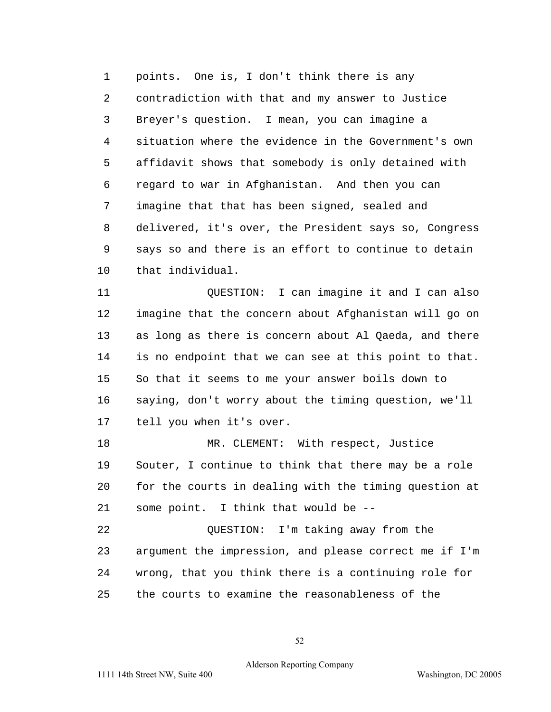1 points. One is, I don't think there is any 2 contradiction with that and my answer to Justice 3 Breyer's question. I mean, you can imagine a 4 situation where the evidence in the Government's own 5 affidavit shows that somebody is only detained with 6 regard to war in Afghanistan. And then you can 7 imagine that that has been signed, sealed and 8 delivered, it's over, the President says so, Congress 9 says so and there is an effort to continue to detain 10 that individual.

11 QUESTION: I can imagine it and I can also 12 imagine that the concern about Afghanistan will go on 13 as long as there is concern about Al Qaeda, and there 14 is no endpoint that we can see at this point to that. 15 So that it seems to me your answer boils down to 16 saying, don't worry about the timing question, we'll 17 tell you when it's over.

18 MR. CLEMENT: With respect, Justice 19 Souter, I continue to think that there may be a role 20 for the courts in dealing with the timing question at 21 some point. I think that would be --

22 OUESTION: I'm taking away from the 23 argument the impression, and please correct me if I'm 24 wrong, that you think there is a continuing role for 25 the courts to examine the reasonableness of the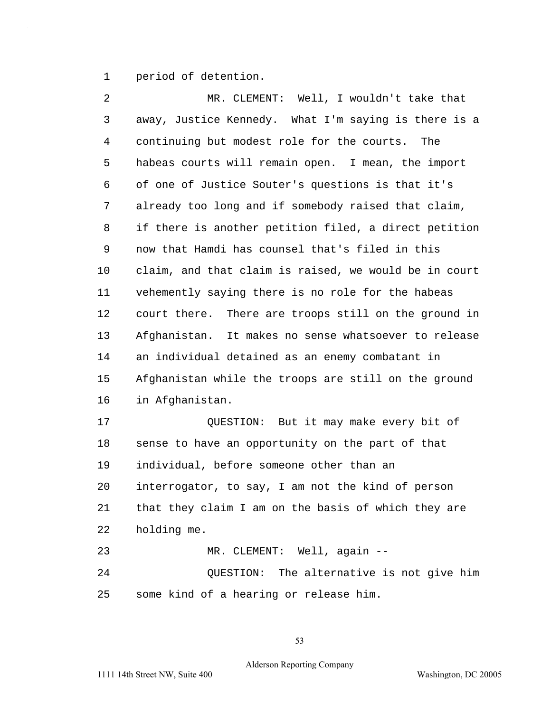1 period of detention.

2 MR. CLEMENT: Well, I wouldn't take that 3 away, Justice Kennedy. What I'm saying is there is a 4 continuing but modest role for the courts. The 5 habeas courts will remain open. I mean, the import 6 of one of Justice Souter's questions is that it's 7 already too long and if somebody raised that claim, 8 if there is another petition filed, a direct petition 9 now that Hamdi has counsel that's filed in this 10 claim, and that claim is raised, we would be in court 11 vehemently saying there is no role for the habeas 12 court there. There are troops still on the ground in 13 Afghanistan. It makes no sense whatsoever to release 14 an individual detained as an enemy combatant in 15 Afghanistan while the troops are still on the ground 16 in Afghanistan. 17 QUESTION: But it may make every bit of 18 sense to have an opportunity on the part of that 19 individual, before someone other than an 20 interrogator, to say, I am not the kind of person 21 that they claim I am on the basis of which they are 22 holding me. 23 MR. CLEMENT: Well, again -- 24 QUESTION: The alternative is not give him 25 some kind of a hearing or release him.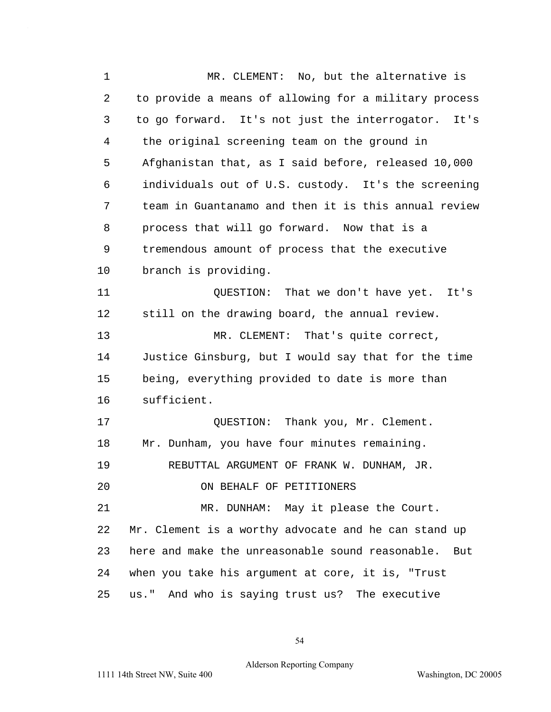1 MR. CLEMENT: No, but the alternative is 2 to provide a means of allowing for a military process 3 to go forward. It's not just the interrogator. It's 4 the original screening team on the ground in 5 Afghanistan that, as I said before, released 10,000 6 individuals out of U.S. custody. It's the screening 7 team in Guantanamo and then it is this annual review 8 process that will go forward. Now that is a 9 tremendous amount of process that the executive 10 branch is providing. 11 QUESTION: That we don't have yet. It's 12 still on the drawing board, the annual review. 13 MR. CLEMENT: That's quite correct, 14 Justice Ginsburg, but I would say that for the time 15 being, everything provided to date is more than 16 sufficient. 17 OUESTION: Thank you, Mr. Clement. 18 Mr. Dunham, you have four minutes remaining. 19 REBUTTAL ARGUMENT OF FRANK W. DUNHAM, JR. 20 ON BEHALF OF PETITIONERS 21 MR. DUNHAM: May it please the Court. 22 Mr. Clement is a worthy advocate and he can stand up 23 here and make the unreasonable sound reasonable. But 24 when you take his argument at core, it is, "Trust 25 us." And who is saying trust us? The executive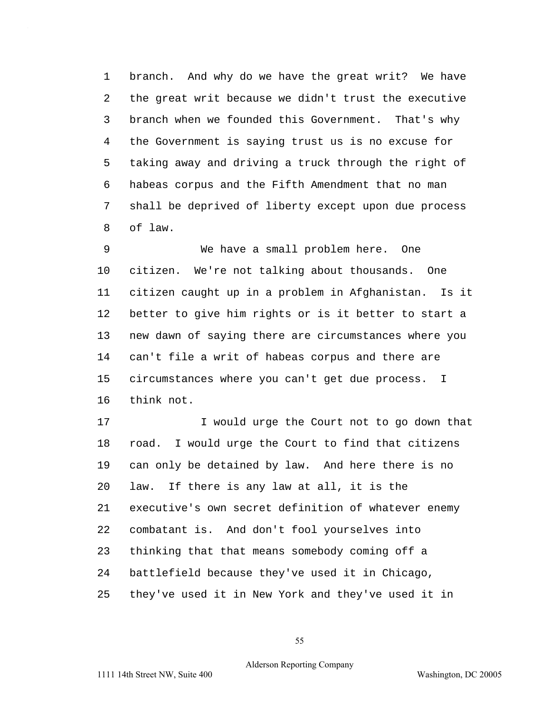1 branch. And why do we have the great writ? We have 2 the great writ because we didn't trust the executive 3 branch when we founded this Government. That's why 4 the Government is saying trust us is no excuse for 5 taking away and driving a truck through the right of 6 habeas corpus and the Fifth Amendment that no man 7 shall be deprived of liberty except upon due process 8 of law.

9 We have a small problem here. One 10 citizen. We're not talking about thousands. One 11 citizen caught up in a problem in Afghanistan. Is it 12 better to give him rights or is it better to start a 13 new dawn of saying there are circumstances where you 14 can't file a writ of habeas corpus and there are 15 circumstances where you can't get due process. I 16 think not.

17 I would urge the Court not to go down that 18 road. I would urge the Court to find that citizens 19 can only be detained by law. And here there is no 20 law. If there is any law at all, it is the 21 executive's own secret definition of whatever enemy 22 combatant is. And don't fool yourselves into 23 thinking that that means somebody coming off a 24 battlefield because they've used it in Chicago, 25 they've used it in New York and they've used it in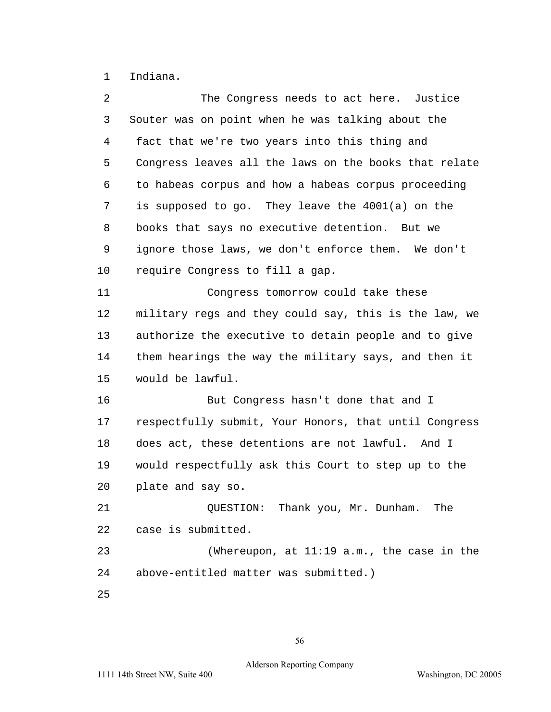1 Indiana.

 $\hat{\mathcal{A}}$ 

| 2  | The Congress needs to act here. Justice               |
|----|-------------------------------------------------------|
| 3  | Souter was on point when he was talking about the     |
| 4  | fact that we're two years into this thing and         |
| 5  | Congress leaves all the laws on the books that relate |
| 6  | to habeas corpus and how a habeas corpus proceeding   |
| 7  | is supposed to go. They leave the $4001(a)$ on the    |
| 8  | books that says no executive detention. But we        |
| 9  | ignore those laws, we don't enforce them. We don't    |
| 10 | require Congress to fill a gap.                       |
| 11 | Congress tomorrow could take these                    |
| 12 | military regs and they could say, this is the law, we |
| 13 | authorize the executive to detain people and to give  |
| 14 | them hearings the way the military says, and then it  |
| 15 | would be lawful.                                      |
| 16 | But Congress hasn't done that and I                   |
| 17 | respectfully submit, Your Honors, that until Congress |
| 18 | does act, these detentions are not lawful. And I      |
| 19 | would respectfully ask this Court to step up to the   |
| 20 | plate and say so.                                     |
| 21 | QUESTION: Thank you, Mr. Dunham.<br>The               |
| 22 | case is submitted.                                    |
| 23 | (Whereupon, at $11:19$ a.m., the case in the          |
| 24 | above-entitled matter was submitted.)                 |
| 25 |                                                       |
|    |                                                       |